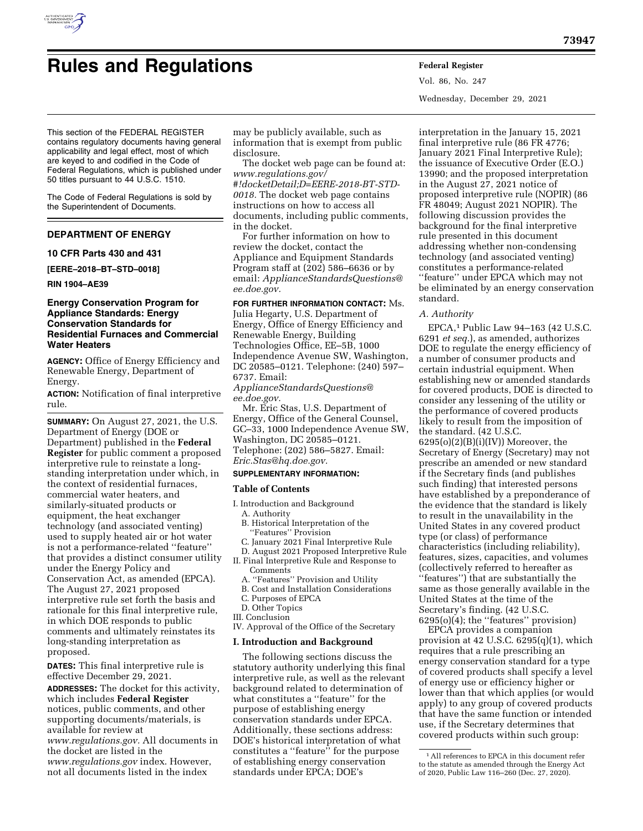

Vol. 86, No. 247 Wednesday, December 29, 2021

This section of the FEDERAL REGISTER contains regulatory documents having general applicability and legal effect, most of which are keyed to and codified in the Code of Federal Regulations, which is published under 50 titles pursuant to 44 U.S.C. 1510.

The Code of Federal Regulations is sold by the Superintendent of Documents.

# **DEPARTMENT OF ENERGY**

## **10 CFR Parts 430 and 431**

**[EERE–2018–BT–STD–0018]** 

**RIN 1904–AE39** 

## **Energy Conservation Program for Appliance Standards: Energy Conservation Standards for Residential Furnaces and Commercial Water Heaters**

**AGENCY:** Office of Energy Efficiency and Renewable Energy, Department of Energy.

**ACTION:** Notification of final interpretive rule.

**SUMMARY:** On August 27, 2021, the U.S. Department of Energy (DOE or Department) published in the **Federal Register** for public comment a proposed interpretive rule to reinstate a longstanding interpretation under which, in the context of residential furnaces, commercial water heaters, and similarly-situated products or equipment, the heat exchanger technology (and associated venting) used to supply heated air or hot water is not a performance-related ''feature'' that provides a distinct consumer utility under the Energy Policy and Conservation Act, as amended (EPCA). The August 27, 2021 proposed interpretive rule set forth the basis and rationale for this final interpretive rule, in which DOE responds to public comments and ultimately reinstates its long-standing interpretation as proposed.

**DATES:** This final interpretive rule is effective December 29, 2021.

**ADDRESSES:** The docket for this activity, which includes **Federal Register**  notices, public comments, and other supporting documents/materials, is available for review at *[www.regulations.gov.](http://www.regulations.gov)* All documents in the docket are listed in the *[www.regulations.gov](http://www.regulations.gov)* index. However, not all documents listed in the index

may be publicly available, such as information that is exempt from public disclosure.

The docket web page can be found at: *[www.regulations.gov/](http://www.regulations.gov/#!docketDetail;D=EERE-2018-BT-STD-0018) [#!docketDetail;D=EERE-2018-BT-STD-](http://www.regulations.gov/#!docketDetail;D=EERE-2018-BT-STD-0018)[0018.](http://www.regulations.gov/#!docketDetail;D=EERE-2018-BT-STD-0018)* The docket web page contains instructions on how to access all documents, including public comments, in the docket.

For further information on how to review the docket, contact the Appliance and Equipment Standards Program staff at (202) 586–6636 or by email: *[ApplianceStandardsQuestions@](mailto:ApplianceStandardsQuestions@ee.doe.gov) [ee.doe.gov.](mailto:ApplianceStandardsQuestions@ee.doe.gov)* 

# **FOR FURTHER INFORMATION CONTACT:** Ms.

Julia Hegarty, U.S. Department of Energy, Office of Energy Efficiency and Renewable Energy, Building Technologies Office, EE–5B, 1000 Independence Avenue SW, Washington, DC 20585–0121. Telephone: (240) 597– 6737. Email:

*[ApplianceStandardsQuestions@](mailto:ApplianceStandardsQuestions@ee.doe.gov) [ee.doe.gov.](mailto:ApplianceStandardsQuestions@ee.doe.gov)* 

Mr. Eric Stas, U.S. Department of Energy, Office of the General Counsel, GC–33, 1000 Independence Avenue SW, Washington, DC 20585–0121. Telephone: (202) 586–5827. Email: *[Eric.Stas@hq.doe.gov.](mailto:Eric.Stas@hq.doe.gov)* 

# **SUPPLEMENTARY INFORMATION:**

### **Table of Contents**

- I. Introduction and Background A. Authority
	- B. Historical Interpretation of the ''Features'' Provision
	- C. January 2021 Final Interpretive Rule
	- D. August 2021 Proposed Interpretive Rule
- II. Final Interpretive Rule and Response to Comments
	- A. ''Features'' Provision and Utility
	- B. Cost and Installation Considerations
- C. Purposes of EPCA
- D. Other Topics
- III. Conclusion
- IV. Approval of the Office of the Secretary

## **I. Introduction and Background**

The following sections discuss the statutory authority underlying this final interpretive rule, as well as the relevant background related to determination of what constitutes a ''feature'' for the purpose of establishing energy conservation standards under EPCA. Additionally, these sections address: DOE's historical interpretation of what constitutes a "feature" for the purpose of establishing energy conservation standards under EPCA; DOE's

interpretation in the January 15, 2021 final interpretive rule (86 FR 4776; January 2021 Final Interpretive Rule); the issuance of Executive Order (E.O.) 13990; and the proposed interpretation in the August 27, 2021 notice of proposed interpretive rule (NOPIR) (86 FR 48049; August 2021 NOPIR). The following discussion provides the background for the final interpretive rule presented in this document addressing whether non-condensing technology (and associated venting) constitutes a performance-related ''feature'' under EPCA which may not be eliminated by an energy conservation standard.

#### *A. Authority*

EPCA,1 Public Law 94–163 (42 U.S.C. 6291 *et seq.*), as amended, authorizes DOE to regulate the energy efficiency of a number of consumer products and certain industrial equipment. When establishing new or amended standards for covered products, DOE is directed to consider any lessening of the utility or the performance of covered products likely to result from the imposition of the standard. (42 U.S.C.  $6295(o)(2)(B)(i)(IV))$  Moreover, the Secretary of Energy (Secretary) may not prescribe an amended or new standard if the Secretary finds (and publishes such finding) that interested persons have established by a preponderance of the evidence that the standard is likely to result in the unavailability in the United States in any covered product type (or class) of performance characteristics (including reliability), features, sizes, capacities, and volumes (collectively referred to hereafter as ''features'') that are substantially the same as those generally available in the United States at the time of the Secretary's finding. (42 U.S.C. 6295(o)(4); the ''features'' provision)

EPCA provides a companion provision at 42 U.S.C. 6295(q)(1), which requires that a rule prescribing an energy conservation standard for a type of covered products shall specify a level of energy use or efficiency higher or lower than that which applies (or would apply) to any group of covered products that have the same function or intended use, if the Secretary determines that covered products within such group:

<sup>1</sup>All references to EPCA in this document refer to the statute as amended through the Energy Act of 2020, Public Law 116–260 (Dec. 27, 2020).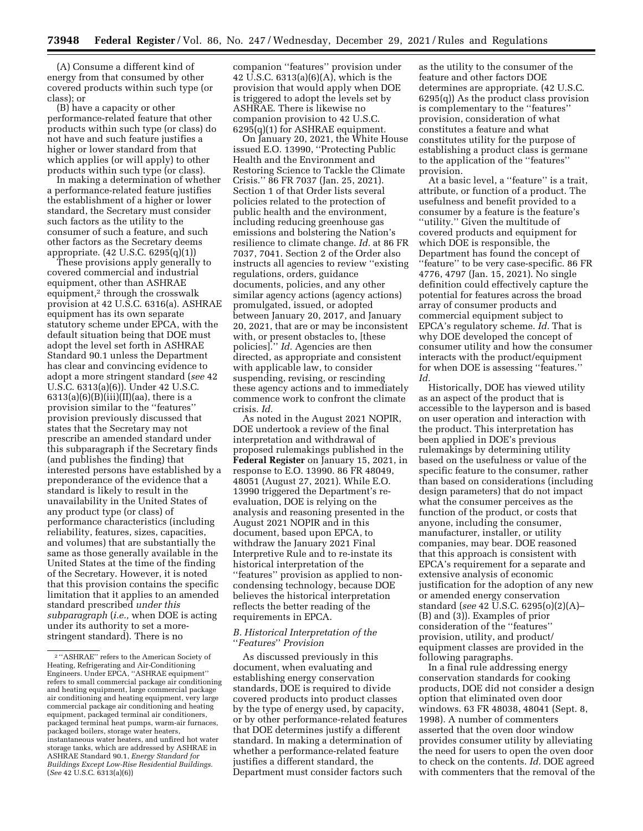(A) Consume a different kind of energy from that consumed by other covered products within such type (or class); or

(B) have a capacity or other performance-related feature that other products within such type (or class) do not have and such feature justifies a higher or lower standard from that which applies (or will apply) to other products within such type (or class).

In making a determination of whether a performance-related feature justifies the establishment of a higher or lower standard, the Secretary must consider such factors as the utility to the consumer of such a feature, and such other factors as the Secretary deems appropriate. (42 U.S.C. 6295(q)(1))

These provisions apply generally to covered commercial and industrial equipment, other than ASHRAE equipment,<sup>2</sup> through the crosswalk provision at 42 U.S.C. 6316(a). ASHRAE equipment has its own separate statutory scheme under EPCA, with the default situation being that DOE must adopt the level set forth in ASHRAE Standard 90.1 unless the Department has clear and convincing evidence to adopt a more stringent standard (*see* 42 U.S.C. 6313(a)(6)). Under 42 U.S.C.  $6313(a)(6)(B)(iii)(II)(aa)$ , there is a provision similar to the ''features'' provision previously discussed that states that the Secretary may not prescribe an amended standard under this subparagraph if the Secretary finds (and publishes the finding) that interested persons have established by a preponderance of the evidence that a standard is likely to result in the unavailability in the United States of any product type (or class) of performance characteristics (including reliability, features, sizes, capacities, and volumes) that are substantially the same as those generally available in the United States at the time of the finding of the Secretary. However, it is noted that this provision contains the specific limitation that it applies to an amended standard prescribed *under this subparagraph* (*i.e.,* when DOE is acting under its authority to set a morestringent standard). There is no

companion ''features'' provision under 42 U.S.C. 6313(a)(6)(A), which is the provision that would apply when DOE is triggered to adopt the levels set by ASHRAE. There is likewise no companion provision to 42 U.S.C. 6295(q)(1) for ASHRAE equipment.

On January 20, 2021, the White House issued E.O. 13990, ''Protecting Public Health and the Environment and Restoring Science to Tackle the Climate Crisis.'' 86 FR 7037 (Jan. 25, 2021). Section 1 of that Order lists several policies related to the protection of public health and the environment, including reducing greenhouse gas emissions and bolstering the Nation's resilience to climate change. *Id.* at 86 FR 7037, 7041. Section 2 of the Order also instructs all agencies to review ''existing regulations, orders, guidance documents, policies, and any other similar agency actions (agency actions) promulgated, issued, or adopted between January 20, 2017, and January 20, 2021, that are or may be inconsistent with, or present obstacles to, [these policies].'' *Id.* Agencies are then directed, as appropriate and consistent with applicable law, to consider suspending, revising, or rescinding these agency actions and to immediately commence work to confront the climate crisis. *Id.* 

As noted in the August 2021 NOPIR, DOE undertook a review of the final interpretation and withdrawal of proposed rulemakings published in the **Federal Register** on January 15, 2021, in response to E.O. 13990. 86 FR 48049, 48051 (August 27, 2021). While E.O. 13990 triggered the Department's reevaluation, DOE is relying on the analysis and reasoning presented in the August 2021 NOPIR and in this document, based upon EPCA, to withdraw the January 2021 Final Interpretive Rule and to re-instate its historical interpretation of the ''features'' provision as applied to noncondensing technology, because DOE believes the historical interpretation reflects the better reading of the requirements in EPCA.

#### *B. Historical Interpretation of the*  ''*Features*'' *Provision*

As discussed previously in this document, when evaluating and establishing energy conservation standards, DOE is required to divide covered products into product classes by the type of energy used, by capacity, or by other performance-related features that DOE determines justify a different standard. In making a determination of whether a performance-related feature justifies a different standard, the Department must consider factors such

as the utility to the consumer of the feature and other factors DOE determines are appropriate. (42 U.S.C. 6295(q)) As the product class provision is complementary to the ''features'' provision, consideration of what constitutes a feature and what constitutes utility for the purpose of establishing a product class is germane to the application of the ''features'' provision.

At a basic level, a ''feature'' is a trait, attribute, or function of a product. The usefulness and benefit provided to a consumer by a feature is the feature's ''utility.'' Given the multitude of covered products and equipment for which DOE is responsible, the Department has found the concept of ''feature'' to be very case-specific. 86 FR 4776, 4797 (Jan. 15, 2021). No single definition could effectively capture the potential for features across the broad array of consumer products and commercial equipment subject to EPCA's regulatory scheme. *Id.* That is why DOE developed the concept of consumer utility and how the consumer interacts with the product/equipment for when DOE is assessing ''features.'' *Id.* 

Historically, DOE has viewed utility as an aspect of the product that is accessible to the layperson and is based on user operation and interaction with the product. This interpretation has been applied in DOE's previous rulemakings by determining utility based on the usefulness or value of the specific feature to the consumer, rather than based on considerations (including design parameters) that do not impact what the consumer perceives as the function of the product, or costs that anyone, including the consumer, manufacturer, installer, or utility companies, may bear. DOE reasoned that this approach is consistent with EPCA's requirement for a separate and extensive analysis of economic justification for the adoption of any new or amended energy conservation standard (*see* 42 U.S.C. 6295(o)(2)(A)– (B) and (3)). Examples of prior consideration of the ''features'' provision, utility, and product/ equipment classes are provided in the following paragraphs.

In a final rule addressing energy conservation standards for cooking products, DOE did not consider a design option that eliminated oven door windows. 63 FR 48038, 48041 (Sept. 8, 1998). A number of commenters asserted that the oven door window provides consumer utility by alleviating the need for users to open the oven door to check on the contents. *Id.* DOE agreed with commenters that the removal of the

<sup>2</sup> ''ASHRAE'' refers to the American Society of Heating, Refrigerating and Air-Conditioning Engineers. Under EPCA, ''ASHRAE equipment'' refers to small commercial package air conditioning and heating equipment, large commercial package air conditioning and heating equipment, very large commercial package air conditioning and heating equipment, packaged terminal air conditioners, packaged terminal heat pumps, warm-air furnaces, packaged boilers, storage water heaters, instantaneous water heaters, and unfired hot water storage tanks, which are addressed by ASHRAE in ASHRAE Standard 90.1, *Energy Standard for Buildings Except Low-Rise Residential Buildings.*  (*See* 42 U.S.C. 6313(a)(6))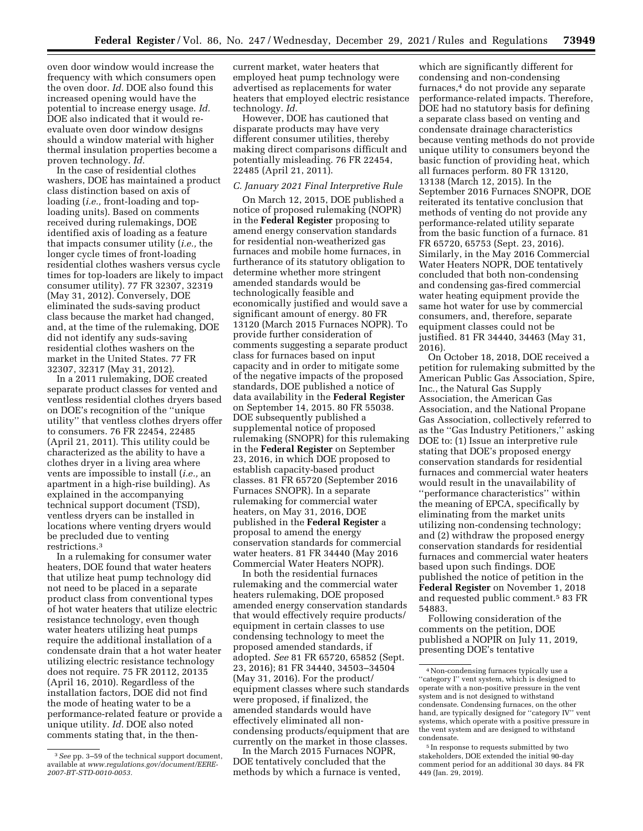oven door window would increase the frequency with which consumers open the oven door. *Id.* DOE also found this increased opening would have the potential to increase energy usage. *Id.*  DOE also indicated that it would reevaluate oven door window designs should a window material with higher thermal insulation properties become a proven technology. *Id.* 

In the case of residential clothes washers, DOE has maintained a product class distinction based on axis of loading (*i.e.,* front-loading and toploading units). Based on comments received during rulemakings, DOE identified axis of loading as a feature that impacts consumer utility (*i.e.,* the longer cycle times of front-loading residential clothes washers versus cycle times for top-loaders are likely to impact consumer utility). 77 FR 32307, 32319 (May 31, 2012). Conversely, DOE eliminated the suds-saving product class because the market had changed, and, at the time of the rulemaking, DOE did not identify any suds-saving residential clothes washers on the market in the United States. 77 FR 32307, 32317 (May 31, 2012).

In a 2011 rulemaking, DOE created separate product classes for vented and ventless residential clothes dryers based on DOE's recognition of the ''unique utility'' that ventless clothes dryers offer to consumers. 76 FR 22454, 22485 (April 21, 2011). This utility could be characterized as the ability to have a clothes dryer in a living area where vents are impossible to install (*i.e.,* an apartment in a high-rise building). As explained in the accompanying technical support document (TSD), ventless dryers can be installed in locations where venting dryers would be precluded due to venting restrictions.3

In a rulemaking for consumer water heaters, DOE found that water heaters that utilize heat pump technology did not need to be placed in a separate product class from conventional types of hot water heaters that utilize electric resistance technology, even though water heaters utilizing heat pumps require the additional installation of a condensate drain that a hot water heater utilizing electric resistance technology does not require. 75 FR 20112, 20135 (April 16, 2010). Regardless of the installation factors, DOE did not find the mode of heating water to be a performance-related feature or provide a unique utility. *Id.* DOE also noted comments stating that, in the thencurrent market, water heaters that employed heat pump technology were advertised as replacements for water heaters that employed electric resistance technology. *Id.* 

However, DOE has cautioned that disparate products may have very different consumer utilities, thereby making direct comparisons difficult and potentially misleading. 76 FR 22454, 22485 (April 21, 2011).

### *C. January 2021 Final Interpretive Rule*

On March 12, 2015, DOE published a notice of proposed rulemaking (NOPR) in the **Federal Register** proposing to amend energy conservation standards for residential non-weatherized gas furnaces and mobile home furnaces, in furtherance of its statutory obligation to determine whether more stringent amended standards would be technologically feasible and economically justified and would save a significant amount of energy. 80 FR 13120 (March 2015 Furnaces NOPR). To provide further consideration of comments suggesting a separate product class for furnaces based on input capacity and in order to mitigate some of the negative impacts of the proposed standards, DOE published a notice of data availability in the **Federal Register**  on September 14, 2015. 80 FR 55038. DOE subsequently published a supplemental notice of proposed rulemaking (SNOPR) for this rulemaking in the **Federal Register** on September 23, 2016, in which DOE proposed to establish capacity-based product classes. 81 FR 65720 (September 2016 Furnaces SNOPR). In a separate rulemaking for commercial water heaters, on May 31, 2016, DOE published in the **Federal Register** a proposal to amend the energy conservation standards for commercial water heaters. 81 FR 34440 (May 2016 Commercial Water Heaters NOPR).

In both the residential furnaces rulemaking and the commercial water heaters rulemaking, DOE proposed amended energy conservation standards that would effectively require products/ equipment in certain classes to use condensing technology to meet the proposed amended standards, if adopted. *See* 81 FR 65720, 65852 (Sept. 23, 2016); 81 FR 34440, 34503–34504 (May 31, 2016). For the product/ equipment classes where such standards were proposed, if finalized, the amended standards would have effectively eliminated all noncondensing products/equipment that are currently on the market in those classes.

In the March 2015 Furnaces NOPR, DOE tentatively concluded that the methods by which a furnace is vented,

which are significantly different for condensing and non-condensing furnaces,4 do not provide any separate performance-related impacts. Therefore, DOE had no statutory basis for defining a separate class based on venting and condensate drainage characteristics because venting methods do not provide unique utility to consumers beyond the basic function of providing heat, which all furnaces perform. 80 FR 13120, 13138 (March 12, 2015). In the September 2016 Furnaces SNOPR, DOE reiterated its tentative conclusion that methods of venting do not provide any performance-related utility separate from the basic function of a furnace. 81 FR 65720, 65753 (Sept. 23, 2016). Similarly, in the May 2016 Commercial Water Heaters NOPR, DOE tentatively concluded that both non-condensing and condensing gas-fired commercial water heating equipment provide the same hot water for use by commercial consumers, and, therefore, separate equipment classes could not be justified. 81 FR 34440, 34463 (May 31, 2016).

On October 18, 2018, DOE received a petition for rulemaking submitted by the American Public Gas Association, Spire, Inc., the Natural Gas Supply Association, the American Gas Association, and the National Propane Gas Association, collectively referred to as the ''Gas Industry Petitioners,'' asking DOE to: (1) Issue an interpretive rule stating that DOE's proposed energy conservation standards for residential furnaces and commercial water heaters would result in the unavailability of ''performance characteristics'' within the meaning of EPCA, specifically by eliminating from the market units utilizing non-condensing technology; and (2) withdraw the proposed energy conservation standards for residential furnaces and commercial water heaters based upon such findings. DOE published the notice of petition in the **Federal Register** on November 1, 2018 and requested public comment.5 83 FR 54883.

Following consideration of the comments on the petition, DOE published a NOPIR on July 11, 2019, presenting DOE's tentative

5 In response to requests submitted by two stakeholders, DOE extended the initial 90-day comment period for an additional 30 days. 84 FR 449 (Jan. 29, 2019).

<sup>3</sup>*See* pp. 3–59 of the technical support document, available at *[www.regulations.gov/document/EERE-](http://www.regulations.gov/document/EERE-2007-BT-STD-0010-0053)[2007-BT-STD-0010-0053.](http://www.regulations.gov/document/EERE-2007-BT-STD-0010-0053)* 

<sup>4</sup>Non-condensing furnaces typically use a ''category I'' vent system, which is designed to operate with a non-positive pressure in the vent system and is not designed to withstand condensate. Condensing furnaces, on the other hand, are typically designed for ''category IV'' vent systems, which operate with a positive pressure in the vent system and are designed to withstand condensate.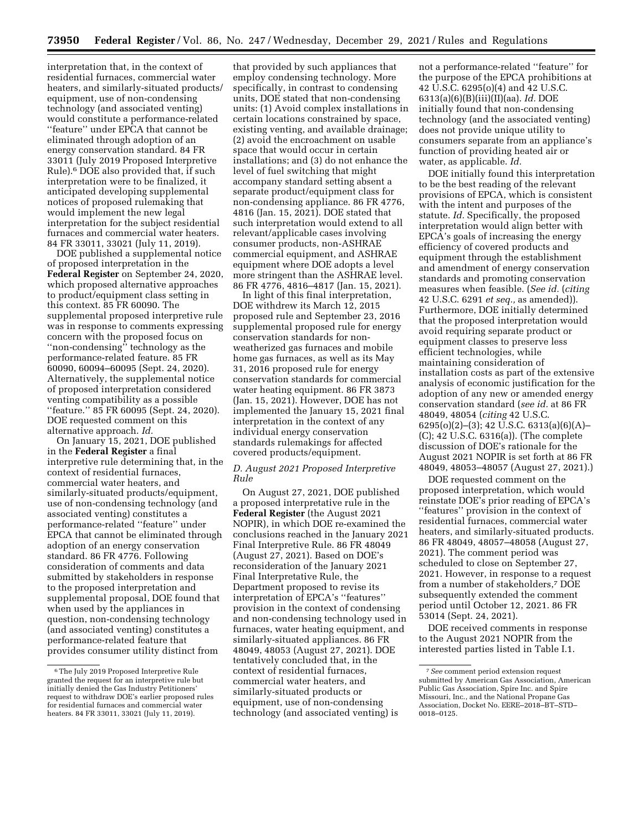interpretation that, in the context of residential furnaces, commercial water heaters, and similarly-situated products/ equipment, use of non-condensing technology (and associated venting) would constitute a performance-related ''feature'' under EPCA that cannot be eliminated through adoption of an energy conservation standard. 84 FR 33011 (July 2019 Proposed Interpretive Rule).6 DOE also provided that, if such interpretation were to be finalized, it anticipated developing supplemental notices of proposed rulemaking that would implement the new legal interpretation for the subject residential furnaces and commercial water heaters. 84 FR 33011, 33021 (July 11, 2019).

DOE published a supplemental notice of proposed interpretation in the **Federal Register** on September 24, 2020, which proposed alternative approaches to product/equipment class setting in this context. 85 FR 60090. The supplemental proposed interpretive rule was in response to comments expressing concern with the proposed focus on ''non-condensing'' technology as the performance-related feature. 85 FR 60090, 60094–60095 (Sept. 24, 2020). Alternatively, the supplemental notice of proposed interpretation considered venting compatibility as a possible ''feature.'' 85 FR 60095 (Sept. 24, 2020). DOE requested comment on this alternative approach. *Id.* 

On January 15, 2021, DOE published in the **Federal Register** a final interpretive rule determining that, in the context of residential furnaces, commercial water heaters, and similarly-situated products/equipment, use of non-condensing technology (and associated venting) constitutes a performance-related ''feature'' under EPCA that cannot be eliminated through adoption of an energy conservation standard. 86 FR 4776. Following consideration of comments and data submitted by stakeholders in response to the proposed interpretation and supplemental proposal, DOE found that when used by the appliances in question, non-condensing technology (and associated venting) constitutes a performance-related feature that provides consumer utility distinct from

that provided by such appliances that employ condensing technology. More specifically, in contrast to condensing units, DOE stated that non-condensing units: (1) Avoid complex installations in certain locations constrained by space, existing venting, and available drainage; (2) avoid the encroachment on usable space that would occur in certain installations; and (3) do not enhance the level of fuel switching that might accompany standard setting absent a separate product/equipment class for non-condensing appliance. 86 FR 4776, 4816 (Jan. 15, 2021). DOE stated that such interpretation would extend to all relevant/applicable cases involving consumer products, non-ASHRAE commercial equipment, and ASHRAE equipment where DOE adopts a level more stringent than the ASHRAE level. 86 FR 4776, 4816–4817 (Jan. 15, 2021).

In light of this final interpretation, DOE withdrew its March 12, 2015 proposed rule and September 23, 2016 supplemental proposed rule for energy conservation standards for nonweatherized gas furnaces and mobile home gas furnaces, as well as its May 31, 2016 proposed rule for energy conservation standards for commercial water heating equipment. 86 FR 3873 (Jan. 15, 2021). However, DOE has not implemented the January 15, 2021 final interpretation in the context of any individual energy conservation standards rulemakings for affected covered products/equipment.

### *D. August 2021 Proposed Interpretive Rule*

On August 27, 2021, DOE published a proposed interpretative rule in the **Federal Register** (the August 2021 NOPIR), in which DOE re-examined the conclusions reached in the January 2021 Final Interpretive Rule. 86 FR 48049 (August 27, 2021). Based on DOE's reconsideration of the January 2021 Final Interpretative Rule, the Department proposed to revise its interpretation of EPCA's ''features'' provision in the context of condensing and non-condensing technology used in furnaces, water heating equipment, and similarly-situated appliances. 86 FR 48049, 48053 (August 27, 2021). DOE tentatively concluded that, in the context of residential furnaces, commercial water heaters, and similarly-situated products or equipment, use of non-condensing technology (and associated venting) is

not a performance-related ''feature'' for the purpose of the EPCA prohibitions at 42 U.S.C. 6295(o)(4) and 42 U.S.C. 6313(a)(6)(B)(iii)(II)(aa). *Id.* DOE initially found that non-condensing technology (and the associated venting) does not provide unique utility to consumers separate from an appliance's function of providing heated air or water, as applicable. *Id.* 

DOE initially found this interpretation to be the best reading of the relevant provisions of EPCA, which is consistent with the intent and purposes of the statute. *Id.* Specifically, the proposed interpretation would align better with EPCA's goals of increasing the energy efficiency of covered products and equipment through the establishment and amendment of energy conservation standards and promoting conservation measures when feasible. (*See id.* (*citing*  42 U.S.C. 6291 *et seq.,* as amended)). Furthermore, DOE initially determined that the proposed interpretation would avoid requiring separate product or equipment classes to preserve less efficient technologies, while maintaining consideration of installation costs as part of the extensive analysis of economic justification for the adoption of any new or amended energy conservation standard (*see id.* at 86 FR 48049, 48054 (*citing* 42 U.S.C. 6295(o)(2)–(3); 42 U.S.C. 6313(a)(6)(A)– (C); 42 U.S.C. 6316(a)). (The complete discussion of DOE's rationale for the August 2021 NOPIR is set forth at 86 FR 48049, 48053–48057 (August 27, 2021).)

DOE requested comment on the proposed interpretation, which would reinstate DOE's prior reading of EPCA's ''features'' provision in the context of residential furnaces, commercial water heaters, and similarly-situated products. 86 FR 48049, 48057–48058 (August 27, 2021). The comment period was scheduled to close on September 27, 2021. However, in response to a request from a number of stakeholders,7 DOE subsequently extended the comment period until October 12, 2021. 86 FR 53014 (Sept. 24, 2021).

DOE received comments in response to the August 2021 NOPIR from the interested parties listed in Table I.1.

 $^{\rm 6}$  The July 2019 Proposed Interpretive Rule granted the request for an interpretive rule but initially denied the Gas Industry Petitioners' request to withdraw DOE's earlier proposed rules for residential furnaces and commercial water heaters. 84 FR 33011, 33021 (July 11, 2019).

<sup>7</sup>*See* comment period extension request submitted by American Gas Association, American Public Gas Association, Spire Inc. and Spire Missouri, Inc., and the National Propane Gas Association, Docket No. EERE–2018–BT–STD– 0018–0125.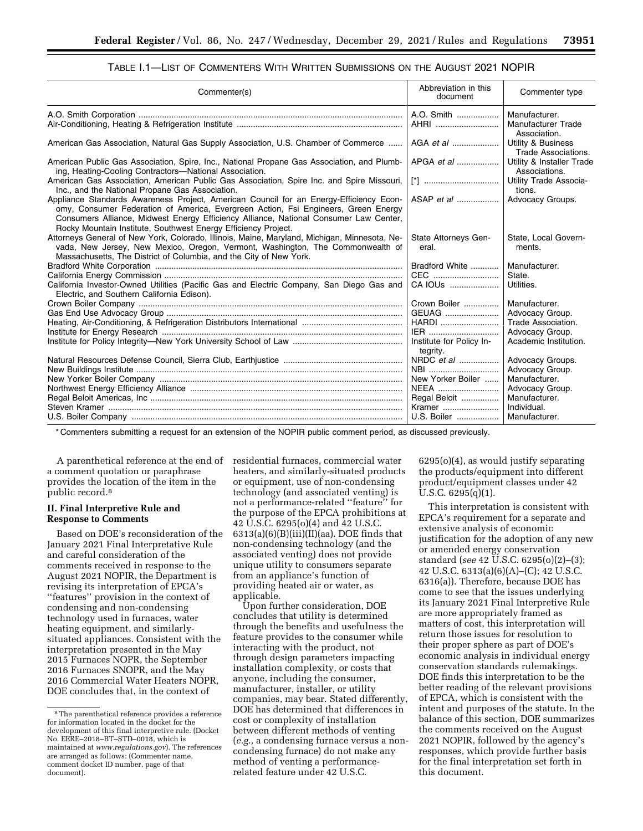| Commenter(s)                                                                                                                                                                                                                                                                                                                            | Abbreviation in this<br>document     | Commenter type                                       |
|-----------------------------------------------------------------------------------------------------------------------------------------------------------------------------------------------------------------------------------------------------------------------------------------------------------------------------------------|--------------------------------------|------------------------------------------------------|
|                                                                                                                                                                                                                                                                                                                                         | A.O. Smith<br>AHRI                   | Manufacturer.<br>Manufacturer Trade<br>Association.  |
| American Gas Association, Natural Gas Supply Association, U.S. Chamber of Commerce                                                                                                                                                                                                                                                      |                                      | <b>Utility &amp; Business</b><br>Trade Associations. |
| American Public Gas Association, Spire, Inc., National Propane Gas Association, and Plumb-<br>ing, Heating-Cooling Contractors-National Association.                                                                                                                                                                                    | APGA <i>et al</i>                    | Utility & Installer Trade<br>Associations.           |
| American Gas Association, American Public Gas Association, Spire Inc. and Spire Missouri,<br>Inc., and the National Propane Gas Association.                                                                                                                                                                                            |                                      | <b>Utility Trade Associa-</b><br>tions.              |
| Appliance Standards Awareness Project, American Council for an Energy-Efficiency Econ-<br>omy, Consumer Federation of America, Evergreen Action, Fsi Engineers, Green Energy<br>Consumers Alliance, Midwest Energy Efficiency Alliance, National Consumer Law Center,<br>Rocky Mountain Institute, Southwest Energy Efficiency Project. | ASAP <i>et al</i>                    | Advocacy Groups.                                     |
| Attorneys General of New York, Colorado, Illinois, Maine, Maryland, Michigan, Minnesota, Ne-<br>vada, New Jersey, New Mexico, Oregon, Vermont, Washington, The Commonwealth of<br>Massachusetts, The District of Columbia, and the City of New York.                                                                                    | State Attorneys Gen-<br>eral.        | State, Local Govern-<br>ments.                       |
|                                                                                                                                                                                                                                                                                                                                         | Bradford White                       | Manufacturer.                                        |
|                                                                                                                                                                                                                                                                                                                                         | CEC                                  | State.                                               |
| California Investor-Owned Utilities (Pacific Gas and Electric Company, San Diego Gas and<br>Electric, and Southern California Edison).                                                                                                                                                                                                  | CA IOUS                              | Utilities.                                           |
|                                                                                                                                                                                                                                                                                                                                         | Crown Boiler                         | Manufacturer.                                        |
|                                                                                                                                                                                                                                                                                                                                         | GEUAG                                | Advocacy Group.                                      |
|                                                                                                                                                                                                                                                                                                                                         | HARDI                                | Trade Association.                                   |
|                                                                                                                                                                                                                                                                                                                                         | IER                                  | Advocacy Group.                                      |
|                                                                                                                                                                                                                                                                                                                                         | Institute for Policy In-<br>tegrity. | Academic Institution.                                |
|                                                                                                                                                                                                                                                                                                                                         | NRDC et al                           | Advocacy Groups.                                     |
|                                                                                                                                                                                                                                                                                                                                         | NBI                                  | Advocacy Group.                                      |
|                                                                                                                                                                                                                                                                                                                                         | New Yorker Boiler                    | Manufacturer.                                        |
|                                                                                                                                                                                                                                                                                                                                         | NEEA                                 | Advocacy Group.                                      |
|                                                                                                                                                                                                                                                                                                                                         | Regal Beloit                         | Manufacturer.                                        |
|                                                                                                                                                                                                                                                                                                                                         | Kramer                               | Individual.                                          |
|                                                                                                                                                                                                                                                                                                                                         | U.S. Boiler    Manufacturer.         |                                                      |

## TABLE I.1—LIST OF COMMENTERS WITH WRITTEN SUBMISSIONS ON THE AUGUST 2021 NOPIR

\* Commenters submitting a request for an extension of the NOPIR public comment period, as discussed previously.

A parenthetical reference at the end of a comment quotation or paraphrase provides the location of the item in the public record.8

### **II. Final Interpretive Rule and Response to Comments**

Based on DOE's reconsideration of the January 2021 Final Interpretative Rule and careful consideration of the comments received in response to the August 2021 NOPIR, the Department is revising its interpretation of EPCA's ''features'' provision in the context of condensing and non-condensing technology used in furnaces, water heating equipment, and similarlysituated appliances. Consistent with the interpretation presented in the May 2015 Furnaces NOPR, the September 2016 Furnaces SNOPR, and the May 2016 Commercial Water Heaters NOPR, DOE concludes that, in the context of

residential furnaces, commercial water heaters, and similarly-situated products or equipment, use of non-condensing technology (and associated venting) is not a performance-related ''feature'' for the purpose of the EPCA prohibitions at 42 U.S.C. 6295(o)(4) and 42 U.S.C.  $6313(a)(6)(B)(iii)(I)(aa)$ . DOE finds that non-condensing technology (and the associated venting) does not provide unique utility to consumers separate from an appliance's function of providing heated air or water, as applicable.

Upon further consideration, DOE concludes that utility is determined through the benefits and usefulness the feature provides to the consumer while interacting with the product, not through design parameters impacting installation complexity, or costs that anyone, including the consumer, manufacturer, installer, or utility companies, may bear. Stated differently, DOE has determined that differences in cost or complexity of installation between different methods of venting (*e.g.,* a condensing furnace versus a noncondensing furnace) do not make any method of venting a performancerelated feature under 42 U.S.C.

6295(o)(4), as would justify separating the products/equipment into different product/equipment classes under 42 U.S.C. 6295(q)(1).

This interpretation is consistent with EPCA's requirement for a separate and extensive analysis of economic justification for the adoption of any new or amended energy conservation standard (*see* 42 U.S.C. 6295(o)(2)–(3); 42 U.S.C. 6313(a)(6)(A)–(C); 42 U.S.C. 6316(a)). Therefore, because DOE has come to see that the issues underlying its January 2021 Final Interpretive Rule are more appropriately framed as matters of cost, this interpretation will return those issues for resolution to their proper sphere as part of DOE's economic analysis in individual energy conservation standards rulemakings. DOE finds this interpretation to be the better reading of the relevant provisions of EPCA, which is consistent with the intent and purposes of the statute. In the balance of this section, DOE summarizes the comments received on the August 2021 NOPIR, followed by the agency's responses, which provide further basis for the final interpretation set forth in this document.

<sup>8</sup>The parenthetical reference provides a reference for information located in the docket for the development of this final interpretive rule. (Docket No. EERE–2018–BT–STD–0018, which is maintained at *[www.regulations.gov](http://www.regulations.gov)*). The references are arranged as follows: (Commenter name, comment docket ID number, page of that document).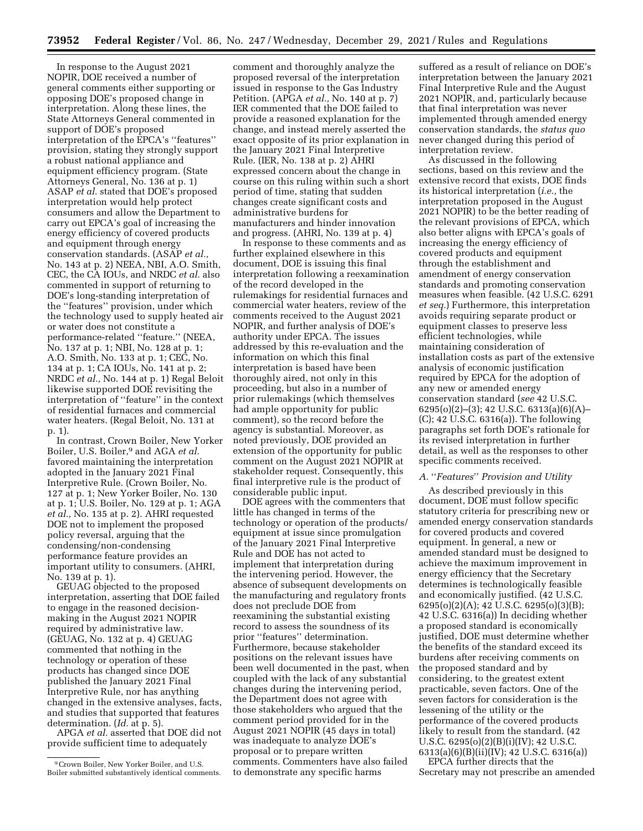In response to the August 2021 NOPIR, DOE received a number of general comments either supporting or opposing DOE's proposed change in interpretation. Along these lines, the State Attorneys General commented in support of DOE's proposed interpretation of the EPCA's ''features'' provision, stating they strongly support a robust national appliance and equipment efficiency program. (State Attorneys General, No. 136 at p. 1) ASAP *et al.* stated that DOE's proposed interpretation would help protect consumers and allow the Department to carry out EPCA's goal of increasing the energy efficiency of covered products and equipment through energy conservation standards. (ASAP *et al.,*  No. 143 at p. 2) NEEA, NBI, A.O. Smith, CEC, the CA IOUs, and NRDC *et al.* also commented in support of returning to DOE's long-standing interpretation of the ''features'' provision, under which the technology used to supply heated air or water does not constitute a performance-related ''feature.'' (NEEA, No. 137 at p. 1; NBI, No. 128 at p. 1; A.O. Smith, No. 133 at p. 1; CEC, No. 134 at p. 1; CA IOUs, No. 141 at p. 2; NRDC *et al.,* No. 144 at p. 1) Regal Beloit likewise supported DOE revisiting the interpretation of ''feature'' in the context of residential furnaces and commercial water heaters. (Regal Beloit, No. 131 at p. 1).

In contrast, Crown Boiler, New Yorker Boiler, U.S. Boiler,9 and AGA *et al.*  favored maintaining the interpretation adopted in the January 2021 Final Interpretive Rule. (Crown Boiler, No. 127 at p. 1; New Yorker Boiler, No. 130 at p. 1; U.S. Boiler, No. 129 at p. 1; AGA *et al.,* No. 135 at p. 2). AHRI requested DOE not to implement the proposed policy reversal, arguing that the condensing/non-condensing performance feature provides an important utility to consumers. (AHRI, No. 139 at p. 1).

GEUAG objected to the proposed interpretation, asserting that DOE failed to engage in the reasoned decisionmaking in the August 2021 NOPIR required by administrative law. (GEUAG, No. 132 at p. 4) GEUAG commented that nothing in the technology or operation of these products has changed since DOE published the January 2021 Final Interpretive Rule, nor has anything changed in the extensive analyses, facts, and studies that supported that features determination. (*Id.* at p. 5).

APGA *et al.* asserted that DOE did not provide sufficient time to adequately

comment and thoroughly analyze the proposed reversal of the interpretation issued in response to the Gas Industry Petition. (APGA *et al.,* No. 140 at p. 7) IER commented that the DOE failed to provide a reasoned explanation for the change, and instead merely asserted the exact opposite of its prior explanation in the January 2021 Final Interpretive Rule. (IER, No. 138 at p. 2) AHRI expressed concern about the change in course on this ruling within such a short period of time, stating that sudden changes create significant costs and administrative burdens for manufacturers and hinder innovation and progress. (AHRI, No. 139 at p. 4)

In response to these comments and as further explained elsewhere in this document, DOE is issuing this final interpretation following a reexamination of the record developed in the rulemakings for residential furnaces and commercial water heaters, review of the comments received to the August 2021 NOPIR, and further analysis of DOE's authority under EPCA. The issues addressed by this re-evaluation and the information on which this final interpretation is based have been thoroughly aired, not only in this proceeding, but also in a number of prior rulemakings (which themselves had ample opportunity for public comment), so the record before the agency is substantial. Moreover, as noted previously, DOE provided an extension of the opportunity for public comment on the August 2021 NOPIR at stakeholder request. Consequently, this final interpretive rule is the product of considerable public input.

DOE agrees with the commenters that little has changed in terms of the technology or operation of the products/ equipment at issue since promulgation of the January 2021 Final Interpretive Rule and DOE has not acted to implement that interpretation during the intervening period. However, the absence of subsequent developments on the manufacturing and regulatory fronts does not preclude DOE from reexamining the substantial existing record to assess the soundness of its prior ''features'' determination. Furthermore, because stakeholder positions on the relevant issues have been well documented in the past, when coupled with the lack of any substantial changes during the intervening period, the Department does not agree with those stakeholders who argued that the comment period provided for in the August 2021 NOPIR (45 days in total) was inadequate to analyze DOE's proposal or to prepare written comments. Commenters have also failed to demonstrate any specific harms

suffered as a result of reliance on DOE's interpretation between the January 2021 Final Interpretive Rule and the August 2021 NOPIR, and, particularly because that final interpretation was never implemented through amended energy conservation standards, the *status quo*  never changed during this period of interpretation review.

As discussed in the following sections, based on this review and the extensive record that exists, DOE finds its historical interpretation (*i.e.,* the interpretation proposed in the August 2021 NOPIR) to be the better reading of the relevant provisions of EPCA, which also better aligns with EPCA's goals of increasing the energy efficiency of covered products and equipment through the establishment and amendment of energy conservation standards and promoting conservation measures when feasible. (42 U.S.C. 6291 *et seq.*) Furthermore, this interpretation avoids requiring separate product or equipment classes to preserve less efficient technologies, while maintaining consideration of installation costs as part of the extensive analysis of economic justification required by EPCA for the adoption of any new or amended energy conservation standard (*see* 42 U.S.C. 6295(o)(2)–(3); 42 U.S.C. 6313(a)(6)(A)– (C); 42 U.S.C. 6316(a)). The following paragraphs set forth DOE's rationale for its revised interpretation in further detail, as well as the responses to other specific comments received.

## *A.* ''*Features*'' *Provision and Utility*

As described previously in this document, DOE must follow specific statutory criteria for prescribing new or amended energy conservation standards for covered products and covered equipment. In general, a new or amended standard must be designed to achieve the maximum improvement in energy efficiency that the Secretary determines is technologically feasible and economically justified. (42 U.S.C. 6295(o)(2)(A); 42 U.S.C. 6295(o)(3)(B); 42 U.S.C. 6316(a)) In deciding whether a proposed standard is economically justified, DOE must determine whether the benefits of the standard exceed its burdens after receiving comments on the proposed standard and by considering, to the greatest extent practicable, seven factors. One of the seven factors for consideration is the lessening of the utility or the performance of the covered products likely to result from the standard. (42 U.S.C. 6295(o)(2)(B)(i)(IV); 42 U.S.C. 6313(a)(6)(B)(ii)(IV); 42 U.S.C. 6316(a))

EPCA further directs that the Secretary may not prescribe an amended

<sup>9</sup>Crown Boiler, New Yorker Boiler, and U.S. Boiler submitted substantively identical comments.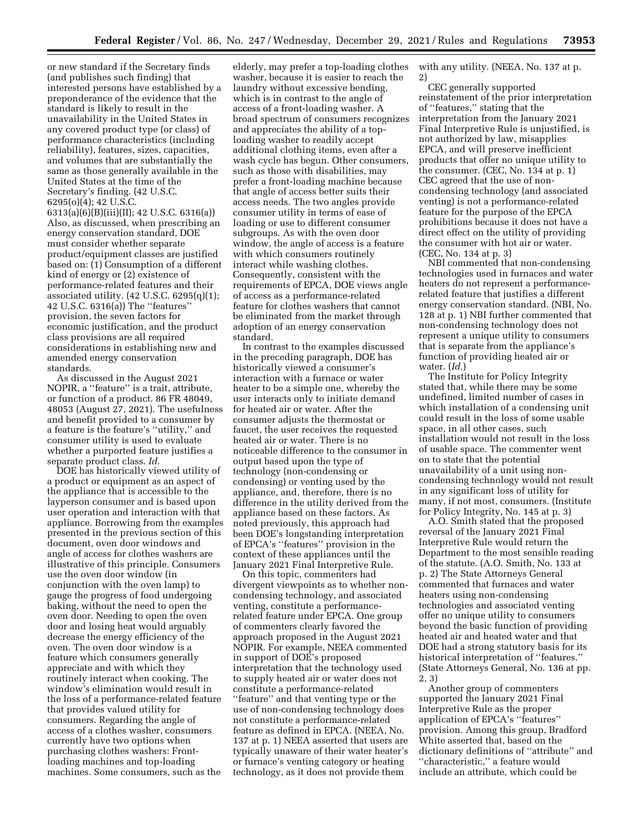or new standard if the Secretary finds (and publishes such finding) that interested persons have established by a preponderance of the evidence that the standard is likely to result in the unavailability in the United States in any covered product type (or class) of performance characteristics (including reliability), features, sizes, capacities, and volumes that are substantially the same as those generally available in the United States at the time of the Secretary's finding. (42 U.S.C. 6295(o)(4); 42 U.S.C.

6313(a)(6)(B)(iii)(II); 42 U.S.C. 6316(a)) Also, as discussed, when prescribing an energy conservation standard, DOE must consider whether separate product/equipment classes are justified based on: (1) Consumption of a different kind of energy or (2) existence of performance-related features and their associated utility.  $(42 \text{ U.S.C. } 6295(q)(1);$ 42 U.S.C. 6316(a)) The ''features'' provision, the seven factors for economic justification, and the product class provisions are all required considerations in establishing new and amended energy conservation standards.

As discussed in the August 2021 NOPIR, a ''feature'' is a trait, attribute, or function of a product. 86 FR 48049, 48053 (August 27, 2021). The usefulness and benefit provided to a consumer by a feature is the feature's ''utility,'' and consumer utility is used to evaluate whether a purported feature justifies a separate product class. *Id.* 

DOE has historically viewed utility of a product or equipment as an aspect of the appliance that is accessible to the layperson consumer and is based upon user operation and interaction with that appliance. Borrowing from the examples presented in the previous section of this document, oven door windows and angle of access for clothes washers are illustrative of this principle. Consumers use the oven door window (in conjunction with the oven lamp) to gauge the progress of food undergoing baking, without the need to open the oven door. Needing to open the oven door and losing heat would arguably decrease the energy efficiency of the oven. The oven door window is a feature which consumers generally appreciate and with which they routinely interact when cooking. The window's elimination would result in the loss of a performance-related feature that provides valued utility for consumers. Regarding the angle of access of a clothes washer, consumers currently have two options when purchasing clothes washers: Frontloading machines and top-loading machines. Some consumers, such as the

elderly, may prefer a top-loading clothes washer, because it is easier to reach the laundry without excessive bending, which is in contrast to the angle of access of a front-loading washer. A broad spectrum of consumers recognizes and appreciates the ability of a toploading washer to readily accept additional clothing items, even after a wash cycle has begun. Other consumers, such as those with disabilities, may prefer a front-loading machine because that angle of access better suits their access needs. The two angles provide consumer utility in terms of ease of loading or use to different consumer subgroups. As with the oven door window, the angle of access is a feature with which consumers routinely interact while washing clothes. Consequently, consistent with the requirements of EPCA, DOE views angle of access as a performance-related feature for clothes washers that cannot be eliminated from the market through adoption of an energy conservation standard.

In contrast to the examples discussed in the preceding paragraph, DOE has historically viewed a consumer's interaction with a furnace or water heater to be a simple one, whereby the user interacts only to initiate demand for heated air or water. After the consumer adjusts the thermostat or faucet, the user receives the requested heated air or water. There is no noticeable difference to the consumer in output based upon the type of technology (non-condensing or condensing) or venting used by the appliance, and, therefore, there is no difference in the utility derived from the appliance based on these factors. As noted previously, this approach had been DOE's longstanding interpretation of EPCA's ''features'' provision in the context of these appliances until the January 2021 Final Interpretive Rule.

On this topic, commenters had divergent viewpoints as to whether noncondensing technology, and associated venting, constitute a performancerelated feature under EPCA. One group of commenters clearly favored the approach proposed in the August 2021 NOPIR. For example, NEEA commented in support of DOE's proposed interpretation that the technology used to supply heated air or water does not constitute a performance-related ''feature'' and that venting type or the use of non-condensing technology does not constitute a performance-related feature as defined in EPCA. (NEEA, No. 137 at p. 1) NEEA asserted that users are typically unaware of their water heater's or furnace's venting category or heating technology, as it does not provide them

with any utility. (NEEA, No. 137 at p.

2) CEC generally supported reinstatement of the prior interpretation of ''features,'' stating that the interpretation from the January 2021 Final Interpretive Rule is unjustified, is not authorized by law, misapplies EPCA, and will preserve inefficient products that offer no unique utility to the consumer. (CEC, No. 134 at p. 1) CEC agreed that the use of noncondensing technology (and associated venting) is not a performance-related feature for the purpose of the EPCA prohibitions because it does not have a direct effect on the utility of providing the consumer with hot air or water. (CEC, No. 134 at p. 3)

NBI commented that non-condensing technologies used in furnaces and water heaters do not represent a performancerelated feature that justifies a different energy conservation standard. (NBI, No. 128 at p. 1) NBI further commented that non-condensing technology does not represent a unique utility to consumers that is separate from the appliance's function of providing heated air or water. (*Id.*)

The Institute for Policy Integrity stated that, while there may be some undefined, limited number of cases in which installation of a condensing unit could result in the loss of some usable space, in all other cases, such installation would not result in the loss of usable space. The commenter went on to state that the potential unavailability of a unit using noncondensing technology would not result in any significant loss of utility for many, if not most, consumers. (Institute for Policy Integrity, No. 145 at p. 3)

A.O. Smith stated that the proposed reversal of the January 2021 Final Interpretive Rule would return the Department to the most sensible reading of the statute. (A.O. Smith, No. 133 at p. 2) The State Attorneys General commented that furnaces and water heaters using non-condensing technologies and associated venting offer no unique utility to consumers beyond the basic function of providing heated air and heated water and that DOE had a strong statutory basis for its historical interpretation of ''features.'' (State Attorneys General, No. 136 at pp. 2, 3)

Another group of commenters supported the January 2021 Final Interpretive Rule as the proper application of EPCA's ''features'' provision. Among this group, Bradford White asserted that, based on the dictionary definitions of ''attribute'' and ''characteristic,'' a feature would include an attribute, which could be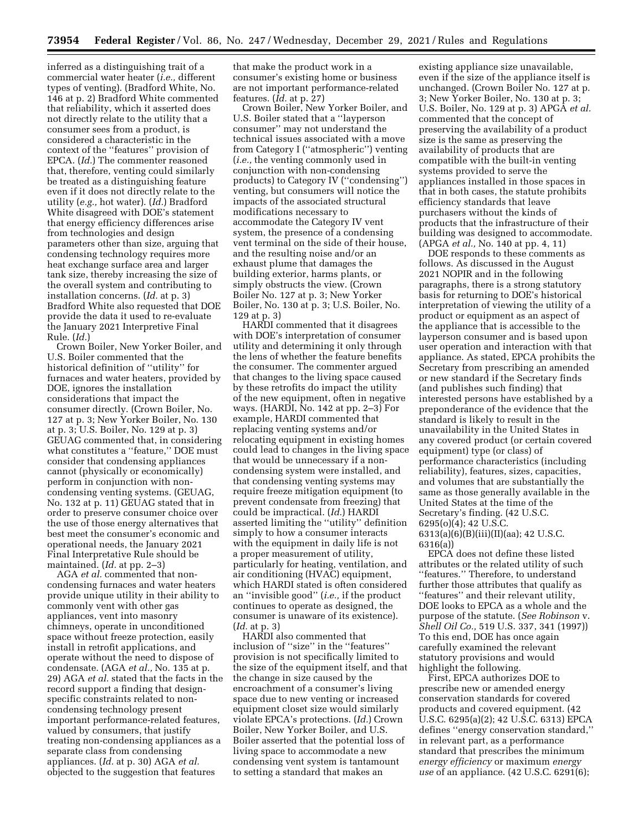inferred as a distinguishing trait of a commercial water heater (*i.e.,* different types of venting). (Bradford White, No. 146 at p. 2) Bradford White commented that reliability, which it asserted does not directly relate to the utility that a consumer sees from a product, is considered a characteristic in the context of the ''features'' provision of EPCA. (*Id.*) The commenter reasoned that, therefore, venting could similarly be treated as a distinguishing feature even if it does not directly relate to the utility (*e.g.,* hot water). (*Id.*) Bradford White disagreed with DOE's statement that energy efficiency differences arise from technologies and design parameters other than size, arguing that condensing technology requires more heat exchange surface area and larger tank size, thereby increasing the size of the overall system and contributing to installation concerns. (*Id.* at p. 3) Bradford White also requested that DOE provide the data it used to re-evaluate the January 2021 Interpretive Final Rule. (*Id.*)

Crown Boiler, New Yorker Boiler, and U.S. Boiler commented that the historical definition of ''utility'' for furnaces and water heaters, provided by DOE, ignores the installation considerations that impact the consumer directly. (Crown Boiler, No. 127 at p. 3; New Yorker Boiler, No. 130 at p. 3; U.S. Boiler, No. 129 at p. 3) GEUAG commented that, in considering what constitutes a ''feature,'' DOE must consider that condensing appliances cannot (physically or economically) perform in conjunction with noncondensing venting systems. (GEUAG, No. 132 at p. 11) GEUAG stated that in order to preserve consumer choice over the use of those energy alternatives that best meet the consumer's economic and operational needs, the January 2021 Final Interpretative Rule should be maintained. (*Id.* at pp. 2–3)

AGA *et al.* commented that noncondensing furnaces and water heaters provide unique utility in their ability to commonly vent with other gas appliances, vent into masonry chimneys, operate in unconditioned space without freeze protection, easily install in retrofit applications, and operate without the need to dispose of condensate. (AGA *et al.,* No. 135 at p. 29) AGA *et al.* stated that the facts in the record support a finding that designspecific constraints related to noncondensing technology present important performance-related features, valued by consumers, that justify treating non-condensing appliances as a separate class from condensing appliances. (*Id.* at p. 30) AGA *et al.*  objected to the suggestion that features

that make the product work in a consumer's existing home or business are not important performance-related features. (*Id.* at p. 27)

Crown Boiler, New Yorker Boiler, and U.S. Boiler stated that a ''layperson consumer'' may not understand the technical issues associated with a move from Category I (''atmospheric'') venting (*i.e.,* the venting commonly used in conjunction with non-condensing products) to Category IV (''condensing'') venting, but consumers will notice the impacts of the associated structural modifications necessary to accommodate the Category IV vent system, the presence of a condensing vent terminal on the side of their house, and the resulting noise and/or an exhaust plume that damages the building exterior, harms plants, or simply obstructs the view. (Crown Boiler No. 127 at p. 3; New Yorker Boiler, No. 130 at p. 3; U.S. Boiler, No. 129 at p. 3)

HARDI commented that it disagrees with DOE's interpretation of consumer utility and determining it only through the lens of whether the feature benefits the consumer. The commenter argued that changes to the living space caused by these retrofits do impact the utility of the new equipment, often in negative ways. (HARDI, No. 142 at pp. 2–3) For example, HARDI commented that replacing venting systems and/or relocating equipment in existing homes could lead to changes in the living space that would be unnecessary if a noncondensing system were installed, and that condensing venting systems may require freeze mitigation equipment (to prevent condensate from freezing) that could be impractical. (*Id.*) HARDI asserted limiting the ''utility'' definition simply to how a consumer interacts with the equipment in daily life is not a proper measurement of utility, particularly for heating, ventilation, and air conditioning (HVAC) equipment, which HARDI stated is often considered an ''invisible good'' (*i.e.,* if the product continues to operate as designed, the consumer is unaware of its existence). (*Id.* at p. 3)

HARDI also commented that inclusion of ''size'' in the ''features'' provision is not specifically limited to the size of the equipment itself, and that the change in size caused by the encroachment of a consumer's living space due to new venting or increased equipment closet size would similarly violate EPCA's protections. (*Id.*) Crown Boiler, New Yorker Boiler, and U.S. Boiler asserted that the potential loss of living space to accommodate a new condensing vent system is tantamount to setting a standard that makes an

existing appliance size unavailable, even if the size of the appliance itself is unchanged. (Crown Boiler No. 127 at p. 3; New Yorker Boiler, No. 130 at p. 3; U.S. Boiler, No. 129 at p. 3) APGA *et al.*  commented that the concept of preserving the availability of a product size is the same as preserving the availability of products that are compatible with the built-in venting systems provided to serve the appliances installed in those spaces in that in both cases, the statute prohibits efficiency standards that leave purchasers without the kinds of products that the infrastructure of their building was designed to accommodate. (APGA *et al.,* No. 140 at pp. 4, 11)

DOE responds to these comments as follows. As discussed in the August 2021 NOPIR and in the following paragraphs, there is a strong statutory basis for returning to DOE's historical interpretation of viewing the utility of a product or equipment as an aspect of the appliance that is accessible to the layperson consumer and is based upon user operation and interaction with that appliance. As stated, EPCA prohibits the Secretary from prescribing an amended or new standard if the Secretary finds (and publishes such finding) that interested persons have established by a preponderance of the evidence that the standard is likely to result in the unavailability in the United States in any covered product (or certain covered equipment) type (or class) of performance characteristics (including reliability), features, sizes, capacities, and volumes that are substantially the same as those generally available in the United States at the time of the Secretary's finding. (42 U.S.C. 6295(o)(4); 42 U.S.C.  $6313(a)(6)(B)(iii)(I)(aa); 42 U.S.C.$ 6316(a))

EPCA does not define these listed attributes or the related utility of such ''features.'' Therefore, to understand further those attributes that qualify as ''features'' and their relevant utility, DOE looks to EPCA as a whole and the purpose of the statute. (*See Robinson* v. *Shell Oil Co.,* 519 U.S. 337, 341 (1997)) To this end, DOE has once again carefully examined the relevant statutory provisions and would highlight the following.

First, EPCA authorizes DOE to prescribe new or amended energy conservation standards for covered products and covered equipment. (42 U.S.C. 6295(a)(2); 42 U.S.C. 6313) EPCA defines ''energy conservation standard,'' in relevant part, as a performance standard that prescribes the minimum *energy efficiency* or maximum *energy use* of an appliance. (42 U.S.C. 6291(6);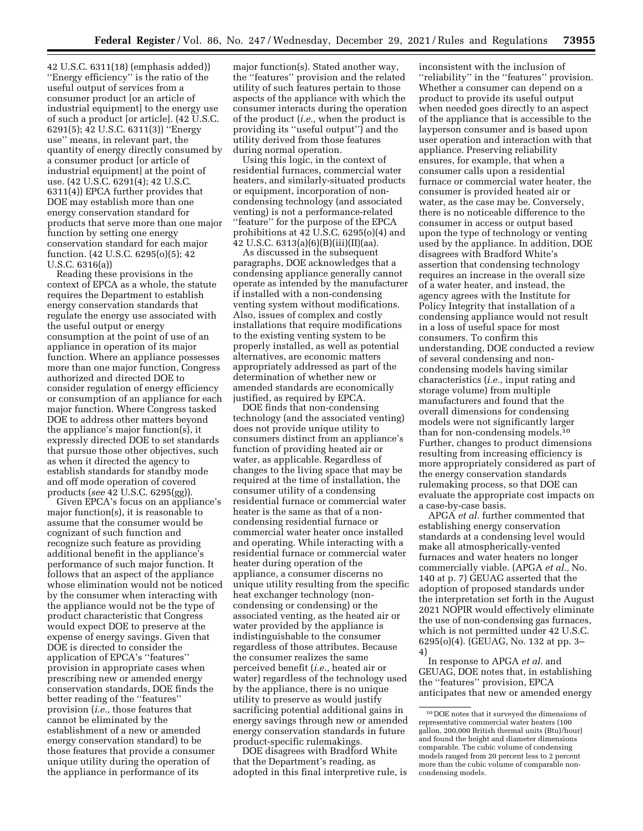42 U.S.C. 6311(18) (emphasis added)) ''Energy efficiency'' is the ratio of the useful output of services from a consumer product [or an article of industrial equipment] to the energy use of such a product [or article]. (42 U.S.C. 6291(5); 42 U.S.C. 6311(3)) ''Energy use'' means, in relevant part, the quantity of energy directly consumed by a consumer product [or article of industrial equipment] at the point of use. (42 U.S.C. 6291(4); 42 U.S.C. 6311(4)) EPCA further provides that DOE may establish more than one energy conservation standard for products that serve more than one major function by setting one energy conservation standard for each major function. (42 U.S.C. 6295(o)(5); 42 U.S.C. 6316(a))

Reading these provisions in the context of EPCA as a whole, the statute requires the Department to establish energy conservation standards that regulate the energy use associated with the useful output or energy consumption at the point of use of an appliance in operation of its major function. Where an appliance possesses more than one major function, Congress authorized and directed DOE to consider regulation of energy efficiency or consumption of an appliance for each major function. Where Congress tasked DOE to address other matters beyond the appliance's major function(s), it expressly directed DOE to set standards that pursue those other objectives, such as when it directed the agency to establish standards for standby mode and off mode operation of covered products (*see* 42 U.S.C. 6295(gg)).

Given EPCA's focus on an appliance's major function(s), it is reasonable to assume that the consumer would be cognizant of such function and recognize such feature as providing additional benefit in the appliance's performance of such major function. It follows that an aspect of the appliance whose elimination would not be noticed by the consumer when interacting with the appliance would not be the type of product characteristic that Congress would expect DOE to preserve at the expense of energy savings. Given that DOE is directed to consider the application of EPCA's ''features'' provision in appropriate cases when prescribing new or amended energy conservation standards, DOE finds the better reading of the ''features'' provision (*i.e.,* those features that cannot be eliminated by the establishment of a new or amended energy conservation standard) to be those features that provide a consumer unique utility during the operation of the appliance in performance of its

major function(s). Stated another way, the ''features'' provision and the related utility of such features pertain to those aspects of the appliance with which the consumer interacts during the operation of the product (*i.e.,* when the product is providing its ''useful output'') and the utility derived from those features during normal operation.

Using this logic, in the context of residential furnaces, commercial water heaters, and similarly-situated products or equipment, incorporation of noncondensing technology (and associated venting) is not a performance-related ''feature'' for the purpose of the EPCA prohibitions at 42 U.S.C. 6295(o)(4) and 42 U.S.C. 6313(a)(6)(B)(iii)(II)(aa).

As discussed in the subsequent paragraphs, DOE acknowledges that a condensing appliance generally cannot operate as intended by the manufacturer if installed with a non-condensing venting system without modifications. Also, issues of complex and costly installations that require modifications to the existing venting system to be properly installed, as well as potential alternatives, are economic matters appropriately addressed as part of the determination of whether new or amended standards are economically justified, as required by EPCA.

DOE finds that non-condensing technology (and the associated venting) does not provide unique utility to consumers distinct from an appliance's function of providing heated air or water, as applicable. Regardless of changes to the living space that may be required at the time of installation, the consumer utility of a condensing residential furnace or commercial water heater is the same as that of a noncondensing residential furnace or commercial water heater once installed and operating. While interacting with a residential furnace or commercial water heater during operation of the appliance, a consumer discerns no unique utility resulting from the specific heat exchanger technology (noncondensing or condensing) or the associated venting, as the heated air or water provided by the appliance is indistinguishable to the consumer regardless of those attributes. Because the consumer realizes the same perceived benefit (*i.e.,* heated air or water) regardless of the technology used by the appliance, there is no unique utility to preserve as would justify sacrificing potential additional gains in energy savings through new or amended energy conservation standards in future product-specific rulemakings.

DOE disagrees with Bradford White that the Department's reading, as adopted in this final interpretive rule, is

inconsistent with the inclusion of ''reliability'' in the ''features'' provision. Whether a consumer can depend on a product to provide its useful output when needed goes directly to an aspect of the appliance that is accessible to the layperson consumer and is based upon user operation and interaction with that appliance. Preserving reliability ensures, for example, that when a consumer calls upon a residential furnace or commercial water heater, the consumer is provided heated air or water, as the case may be. Conversely, there is no noticeable difference to the consumer in access or output based upon the type of technology or venting used by the appliance. In addition, DOE disagrees with Bradford White's assertion that condensing technology requires an increase in the overall size of a water heater, and instead, the agency agrees with the Institute for Policy Integrity that installation of a condensing appliance would not result in a loss of useful space for most consumers. To confirm this understanding, DOE conducted a review of several condensing and noncondensing models having similar characteristics (*i.e.,* input rating and storage volume) from multiple manufacturers and found that the overall dimensions for condensing models were not significantly larger than for non-condensing models.10 Further, changes to product dimensions resulting from increasing efficiency is more appropriately considered as part of the energy conservation standards rulemaking process, so that DOE can evaluate the appropriate cost impacts on a case-by-case basis.

APGA *et al.* further commented that establishing energy conservation standards at a condensing level would make all atmospherically-vented furnaces and water heaters no longer commercially viable. (APGA *et al.,* No. 140 at p. 7) GEUAG asserted that the adoption of proposed standards under the interpretation set forth in the August 2021 NOPIR would effectively eliminate the use of non-condensing gas furnaces, which is not permitted under 42 U.S.C. 6295(o)(4). (GEUAG, No. 132 at pp. 3– 4)

In response to APGA *et al.* and GEUAG, DOE notes that, in establishing the ''features'' provision, EPCA anticipates that new or amended energy

<sup>10</sup> DOE notes that it surveyed the dimensions of representative commercial water heaters (100 gallon, 200,000 British thermal units (Btu)/hour) and found the height and diameter dimensions comparable. The cubic volume of condensing models ranged from 20 percent less to 2 percent more than the cubic volume of comparable noncondensing models.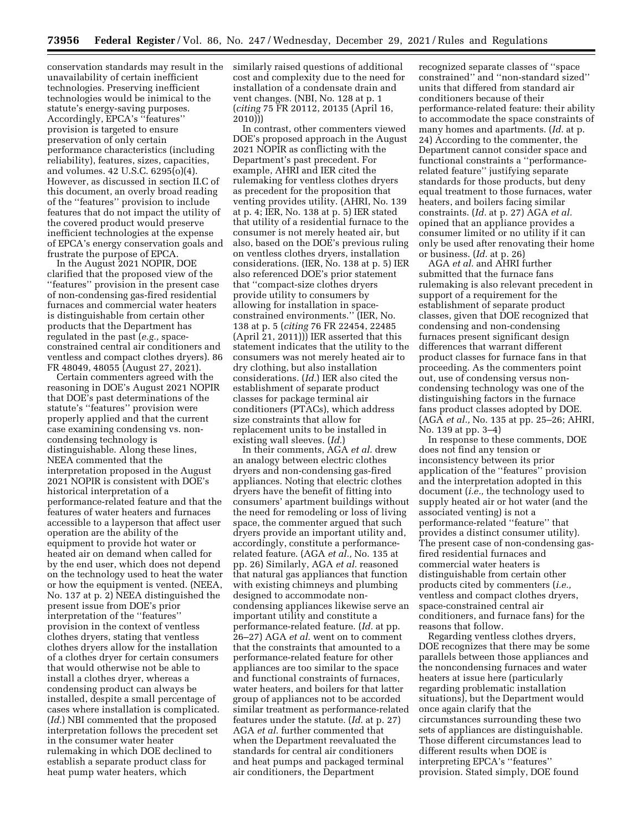conservation standards may result in the unavailability of certain inefficient technologies. Preserving inefficient technologies would be inimical to the statute's energy-saving purposes. Accordingly, EPCA's ''features'' provision is targeted to ensure preservation of only certain performance characteristics (including reliability), features, sizes, capacities, and volumes. 42 U.S.C. 6295(o)(4). However, as discussed in section II.C of this document, an overly broad reading of the ''features'' provision to include features that do not impact the utility of the covered product would preserve inefficient technologies at the expense of EPCA's energy conservation goals and frustrate the purpose of EPCA.

In the August 2021 NOPIR, DOE clarified that the proposed view of the ''features'' provision in the present case of non-condensing gas-fired residential furnaces and commercial water heaters is distinguishable from certain other products that the Department has regulated in the past (*e.g.,* spaceconstrained central air conditioners and ventless and compact clothes dryers). 86 FR 48049, 48055 (August 27, 2021).

Certain commenters agreed with the reasoning in DOE's August 2021 NOPIR that DOE's past determinations of the statute's ''features'' provision were properly applied and that the current case examining condensing vs. noncondensing technology is distinguishable. Along these lines, NEEA commented that the interpretation proposed in the August 2021 NOPIR is consistent with DOE's historical interpretation of a performance-related feature and that the features of water heaters and furnaces accessible to a layperson that affect user operation are the ability of the equipment to provide hot water or heated air on demand when called for by the end user, which does not depend on the technology used to heat the water or how the equipment is vented. (NEEA, No. 137 at p. 2) NEEA distinguished the present issue from DOE's prior interpretation of the ''features'' provision in the context of ventless clothes dryers, stating that ventless clothes dryers allow for the installation of a clothes dryer for certain consumers that would otherwise not be able to install a clothes dryer, whereas a condensing product can always be installed, despite a small percentage of cases where installation is complicated. (*Id.*) NBI commented that the proposed interpretation follows the precedent set in the consumer water heater rulemaking in which DOE declined to establish a separate product class for heat pump water heaters, which

similarly raised questions of additional cost and complexity due to the need for installation of a condensate drain and vent changes. (NBI, No. 128 at p. 1 (*citing* 75 FR 20112, 20135 (April 16, 2010)))

In contrast, other commenters viewed DOE's proposed approach in the August 2021 NOPIR as conflicting with the Department's past precedent. For example, AHRI and IER cited the rulemaking for ventless clothes dryers as precedent for the proposition that venting provides utility. (AHRI, No. 139 at p. 4; IER, No. 138 at p. 5) IER stated that utility of a residential furnace to the consumer is not merely heated air, but also, based on the DOE's previous ruling on ventless clothes dryers, installation considerations. (IER, No. 138 at p. 5) IER also referenced DOE's prior statement that ''compact-size clothes dryers provide utility to consumers by allowing for installation in spaceconstrained environments.'' (IER, No. 138 at p. 5 (*citing* 76 FR 22454, 22485 (April 21, 2011))) IER asserted that this statement indicates that the utility to the consumers was not merely heated air to dry clothing, but also installation considerations. (*Id.*) IER also cited the establishment of separate product classes for package terminal air conditioners (PTACs), which address size constraints that allow for replacement units to be installed in existing wall sleeves. (*Id.*)

In their comments, AGA *et al.* drew an analogy between electric clothes dryers and non-condensing gas-fired appliances. Noting that electric clothes dryers have the benefit of fitting into consumers' apartment buildings without the need for remodeling or loss of living space, the commenter argued that such dryers provide an important utility and, accordingly, constitute a performancerelated feature. (AGA *et al.,* No. 135 at pp. 26) Similarly, AGA *et al.* reasoned that natural gas appliances that function with existing chimneys and plumbing designed to accommodate noncondensing appliances likewise serve an important utility and constitute a performance-related feature. (*Id.* at pp. 26–27) AGA *et al.* went on to comment that the constraints that amounted to a performance-related feature for other appliances are too similar to the space and functional constraints of furnaces, water heaters, and boilers for that latter group of appliances not to be accorded similar treatment as performance-related features under the statute. (*Id.* at p. 27) AGA *et al.* further commented that when the Department reevaluated the standards for central air conditioners and heat pumps and packaged terminal air conditioners, the Department

recognized separate classes of ''space constrained'' and ''non-standard sized'' units that differed from standard air conditioners because of their performance-related feature: their ability to accommodate the space constraints of many homes and apartments. (*Id.* at p. 24) According to the commenter, the Department cannot consider space and functional constraints a ''performancerelated feature'' justifying separate standards for those products, but deny equal treatment to those furnaces, water heaters, and boilers facing similar constraints. (*Id.* at p. 27) AGA *et al.*  opined that an appliance provides a consumer limited or no utility if it can only be used after renovating their home or business. (*Id.* at p. 26)

AGA *et al.* and AHRI further submitted that the furnace fans rulemaking is also relevant precedent in support of a requirement for the establishment of separate product classes, given that DOE recognized that condensing and non-condensing furnaces present significant design differences that warrant different product classes for furnace fans in that proceeding. As the commenters point out, use of condensing versus noncondensing technology was one of the distinguishing factors in the furnace fans product classes adopted by DOE. (AGA *et al.,* No. 135 at pp. 25–26; AHRI, No. 139 at pp. 3–4)

In response to these comments, DOE does not find any tension or inconsistency between its prior application of the ''features'' provision and the interpretation adopted in this document (*i.e.,* the technology used to supply heated air or hot water (and the associated venting) is not a performance-related ''feature'' that provides a distinct consumer utility). The present case of non-condensing gasfired residential furnaces and commercial water heaters is distinguishable from certain other products cited by commenters (*i.e.,*  ventless and compact clothes dryers, space-constrained central air conditioners, and furnace fans) for the reasons that follow.

Regarding ventless clothes dryers, DOE recognizes that there may be some parallels between those appliances and the noncondensing furnaces and water heaters at issue here (particularly regarding problematic installation situations), but the Department would once again clarify that the circumstances surrounding these two sets of appliances are distinguishable. Those different circumstances lead to different results when DOE is interpreting EPCA's ''features'' provision. Stated simply, DOE found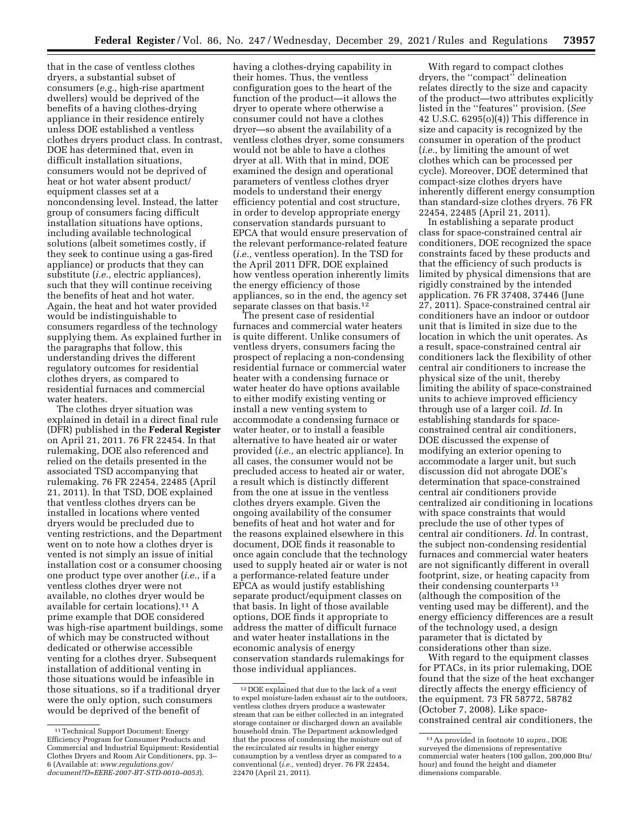that in the case of ventless clothes dryers, a substantial subset of consumers (*e.g.,* high-rise apartment dwellers) would be deprived of the benefits of a having clothes-drying appliance in their residence entirely unless DOE established a ventless clothes dryers product class. In contrast, DOE has determined that, even in difficult installation situations, consumers would not be deprived of heat or hot water absent product/ equipment classes set at a noncondensing level. Instead, the latter group of consumers facing difficult installation situations have options, including available technological solutions (albeit sometimes costly, if they seek to continue using a gas-fired appliance) or products that they can substitute (*i.e.,* electric appliances), such that they will continue receiving the benefits of heat and hot water. Again, the heat and hot water provided would be indistinguishable to consumers regardless of the technology supplying them. As explained further in the paragraphs that follow, this understanding drives the different regulatory outcomes for residential clothes dryers, as compared to residential furnaces and commercial water heaters.

The clothes dryer situation was explained in detail in a direct final rule (DFR) published in the **Federal Register**  on April 21, 2011. 76 FR 22454. In that rulemaking, DOE also referenced and relied on the details presented in the associated TSD accompanying that rulemaking. 76 FR 22454, 22485 (April 21, 2011). In that TSD, DOE explained that ventless clothes dryers can be installed in locations where vented dryers would be precluded due to venting restrictions, and the Department went on to note how a clothes dryer is vented is not simply an issue of initial installation cost or a consumer choosing one product type over another (*i.e.,* if a ventless clothes dryer were not available, no clothes dryer would be available for certain locations).11 A prime example that DOE considered was high-rise apartment buildings, some of which may be constructed without dedicated or otherwise accessible venting for a clothes dryer. Subsequent installation of additional venting in those situations would be infeasible in those situations, so if a traditional dryer were the only option, such consumers would be deprived of the benefit of

having a clothes-drying capability in their homes. Thus, the ventless configuration goes to the heart of the function of the product—it allows the dryer to operate where otherwise a consumer could not have a clothes dryer—so absent the availability of a ventless clothes dryer, some consumers would not be able to have a clothes dryer at all. With that in mind, DOE examined the design and operational parameters of ventless clothes dryer models to understand their energy efficiency potential and cost structure, in order to develop appropriate energy conservation standards pursuant to EPCA that would ensure preservation of the relevant performance-related feature (*i.e.,* ventless operation). In the TSD for the April 2011 DFR, DOE explained how ventless operation inherently limits the energy efficiency of those appliances, so in the end, the agency set separate classes on that basis.<sup>12</sup>

The present case of residential furnaces and commercial water heaters is quite different. Unlike consumers of ventless dryers, consumers facing the prospect of replacing a non-condensing residential furnace or commercial water heater with a condensing furnace or water heater do have options available to either modify existing venting or install a new venting system to accommodate a condensing furnace or water heater, or to install a feasible alternative to have heated air or water provided (*i.e.,* an electric appliance). In all cases, the consumer would not be precluded access to heated air or water, a result which is distinctly different from the one at issue in the ventless clothes dryers example. Given the ongoing availability of the consumer benefits of heat and hot water and for the reasons explained elsewhere in this document, DOE finds it reasonable to once again conclude that the technology used to supply heated air or water is not a performance-related feature under EPCA as would justify establishing separate product/equipment classes on that basis. In light of those available options, DOE finds it appropriate to address the matter of difficult furnace and water heater installations in the economic analysis of energy conservation standards rulemakings for those individual appliances.

With regard to compact clothes dryers, the ''compact'' delineation relates directly to the size and capacity of the product—two attributes explicitly listed in the ''features'' provision. (*See*  42 U.S.C. 6295(o)(4)) This difference in size and capacity is recognized by the consumer in operation of the product (*i.e.,* by limiting the amount of wet clothes which can be processed per cycle). Moreover, DOE determined that compact-size clothes dryers have inherently different energy consumption than standard-size clothes dryers. 76 FR 22454, 22485 (April 21, 2011).

In establishing a separate product class for space-constrained central air conditioners, DOE recognized the space constraints faced by these products and that the efficiency of such products is limited by physical dimensions that are rigidly constrained by the intended application. 76 FR 37408, 37446 (June 27, 2011). Space-constrained central air conditioners have an indoor or outdoor unit that is limited in size due to the location in which the unit operates. As a result, space-constrained central air conditioners lack the flexibility of other central air conditioners to increase the physical size of the unit, thereby limiting the ability of space-constrained units to achieve improved efficiency through use of a larger coil. *Id.* In establishing standards for spaceconstrained central air conditioners, DOE discussed the expense of modifying an exterior opening to accommodate a larger unit, but such discussion did not abrogate DOE's determination that space-constrained central air conditioners provide centralized air conditioning in locations with space constraints that would preclude the use of other types of central air conditioners. *Id.* In contrast, the subject non-condensing residential furnaces and commercial water heaters are not significantly different in overall footprint, size, or heating capacity from their condensing counterparts 13 (although the composition of the venting used may be different), and the energy efficiency differences are a result of the technology used, a design parameter that is dictated by considerations other than size.

With regard to the equipment classes for PTACs, in its prior rulemaking, DOE found that the size of the heat exchanger directly affects the energy efficiency of the equipment. 73 FR 58772, 58782 (October 7, 2008). Like spaceconstrained central air conditioners, the

<sup>&</sup>lt;sup>11</sup> Technical Support Document: Energy Efficiency Program for Consumer Products and Commercial and Industrial Equipment: Residential Clothes Dryers and Room Air Conditioners, pp. 3– 6 (Available at: *[www.regulations.gov/](http://www.regulations.gov/document?D=EERE-2007-BT-STD-0010-0053)  [document?D=EERE-2007-BT-STD-0010–0053](http://www.regulations.gov/document?D=EERE-2007-BT-STD-0010-0053)*).

<sup>12</sup> DOE explained that due to the lack of a vent to expel moisture-laden exhaust air to the outdoors, ventless clothes dryers produce a wastewater stream that can be either collected in an integrated storage container or discharged down an available household drain. The Department acknowledged that the process of condensing the moisture out of the recirculated air results in higher energy consumption by a ventless dryer as compared to a conventional (*i.e.,* vented) dryer. 76 FR 22454, 22470 (April 21, 2011).

<sup>13</sup>As provided in footnote 10 *supra.,* DOE surveyed the dimensions of representative commercial water heaters (100 gallon, 200,000 Btu/ hour) and found the height and diameter dimensions comparable.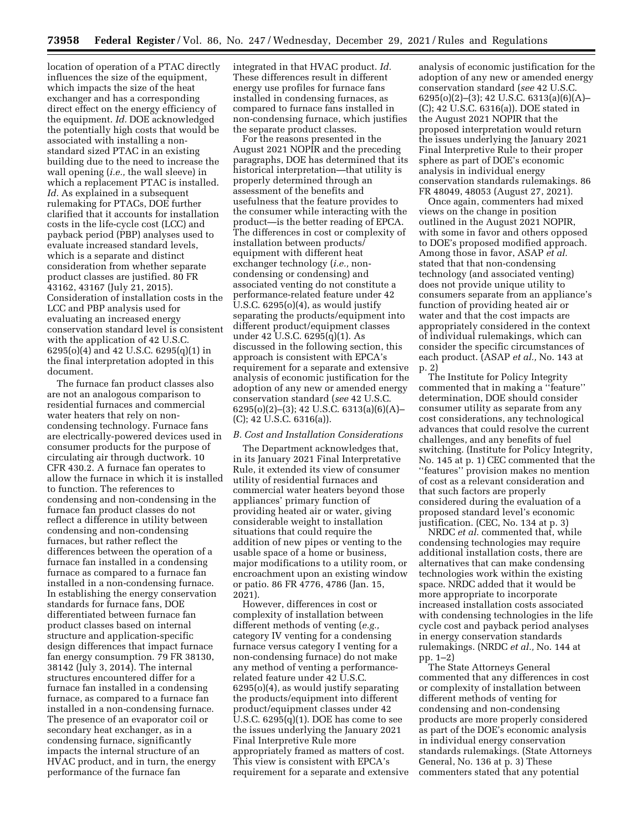location of operation of a PTAC directly influences the size of the equipment, which impacts the size of the heat exchanger and has a corresponding direct effect on the energy efficiency of the equipment. *Id.* DOE acknowledged the potentially high costs that would be associated with installing a nonstandard sized PTAC in an existing building due to the need to increase the wall opening (*i.e.,* the wall sleeve) in which a replacement PTAC is installed. *Id.* As explained in a subsequent rulemaking for PTACs, DOE further clarified that it accounts for installation costs in the life-cycle cost (LCC) and payback period (PBP) analyses used to evaluate increased standard levels, which is a separate and distinct consideration from whether separate product classes are justified. 80 FR 43162, 43167 (July 21, 2015). Consideration of installation costs in the LCC and PBP analysis used for evaluating an increased energy conservation standard level is consistent with the application of 42 U.S.C. 6295(o)(4) and 42 U.S.C. 6295(q)(1) in the final interpretation adopted in this document.

The furnace fan product classes also are not an analogous comparison to residential furnaces and commercial water heaters that rely on noncondensing technology. Furnace fans are electrically-powered devices used in consumer products for the purpose of circulating air through ductwork. 10 CFR 430.2. A furnace fan operates to allow the furnace in which it is installed to function. The references to condensing and non-condensing in the furnace fan product classes do not reflect a difference in utility between condensing and non-condensing furnaces, but rather reflect the differences between the operation of a furnace fan installed in a condensing furnace as compared to a furnace fan installed in a non-condensing furnace. In establishing the energy conservation standards for furnace fans, DOE differentiated between furnace fan product classes based on internal structure and application-specific design differences that impact furnace fan energy consumption. 79 FR 38130, 38142 (July 3, 2014). The internal structures encountered differ for a furnace fan installed in a condensing furnace, as compared to a furnace fan installed in a non-condensing furnace. The presence of an evaporator coil or secondary heat exchanger, as in a condensing furnace, significantly impacts the internal structure of an HVAC product, and in turn, the energy performance of the furnace fan

integrated in that HVAC product. *Id.*  These differences result in different energy use profiles for furnace fans installed in condensing furnaces, as compared to furnace fans installed in non-condensing furnace, which justifies the separate product classes.

For the reasons presented in the August 2021 NOPIR and the preceding paragraphs, DOE has determined that its historical interpretation—that utility is properly determined through an assessment of the benefits and usefulness that the feature provides to the consumer while interacting with the product—is the better reading of EPCA. The differences in cost or complexity of installation between products/ equipment with different heat exchanger technology (*i.e.,* noncondensing or condensing) and associated venting do not constitute a performance-related feature under 42 U.S.C.  $6295(0)(4)$ , as would justify separating the products/equipment into different product/equipment classes under 42 U.S.C. 6295(q)(1). As discussed in the following section, this approach is consistent with EPCA's requirement for a separate and extensive analysis of economic justification for the adoption of any new or amended energy conservation standard (*see* 42 U.S.C. 6295(o)(2)–(3); 42 U.S.C. 6313(a)(6)(A)– (C); 42 U.S.C. 6316(a)).

### *B. Cost and Installation Considerations*

The Department acknowledges that, in its January 2021 Final Interpretative Rule, it extended its view of consumer utility of residential furnaces and commercial water heaters beyond those appliances' primary function of providing heated air or water, giving considerable weight to installation situations that could require the addition of new pipes or venting to the usable space of a home or business, major modifications to a utility room, or encroachment upon an existing window or patio. 86 FR 4776, 4786 (Jan. 15, 2021).

However, differences in cost or complexity of installation between different methods of venting (*e.g.,*  category IV venting for a condensing furnace versus category I venting for a non-condensing furnace) do not make any method of venting a performancerelated feature under 42 U.S.C. 6295(o)(4), as would justify separating the products/equipment into different product/equipment classes under 42 U.S.C.  $6295(q)(1)$ . DOE has come to see the issues underlying the January 2021 Final Interpretive Rule more appropriately framed as matters of cost. This view is consistent with EPCA's requirement for a separate and extensive analysis of economic justification for the adoption of any new or amended energy conservation standard (*see* 42 U.S.C. 6295(o)(2)–(3); 42 U.S.C. 6313(a)(6)(A)– (C); 42 U.S.C. 6316(a)). DOE stated in the August 2021 NOPIR that the proposed interpretation would return the issues underlying the January 2021 Final Interpretive Rule to their proper sphere as part of DOE's economic analysis in individual energy conservation standards rulemakings. 86 FR 48049, 48053 (August 27, 2021).

Once again, commenters had mixed views on the change in position outlined in the August 2021 NOPIR, with some in favor and others opposed to DOE's proposed modified approach. Among those in favor, ASAP *et al.*  stated that that non-condensing technology (and associated venting) does not provide unique utility to consumers separate from an appliance's function of providing heated air or water and that the cost impacts are appropriately considered in the context of individual rulemakings, which can consider the specific circumstances of each product. (ASAP *et al.,* No. 143 at p. 2)

The Institute for Policy Integrity commented that in making a ''feature'' determination, DOE should consider consumer utility as separate from any cost considerations, any technological advances that could resolve the current challenges, and any benefits of fuel switching. (Institute for Policy Integrity, No. 145 at p. 1) CEC commented that the ''features'' provision makes no mention of cost as a relevant consideration and that such factors are properly considered during the evaluation of a proposed standard level's economic justification. (CEC, No. 134 at p. 3)

NRDC *et al.* commented that, while condensing technologies may require additional installation costs, there are alternatives that can make condensing technologies work within the existing space. NRDC added that it would be more appropriate to incorporate increased installation costs associated with condensing technologies in the life cycle cost and payback period analyses in energy conservation standards rulemakings. (NRDC *et al.,* No. 144 at pp. 1–2)

The State Attorneys General commented that any differences in cost or complexity of installation between different methods of venting for condensing and non-condensing products are more properly considered as part of the DOE's economic analysis in individual energy conservation standards rulemakings. (State Attorneys General, No. 136 at p. 3) These commenters stated that any potential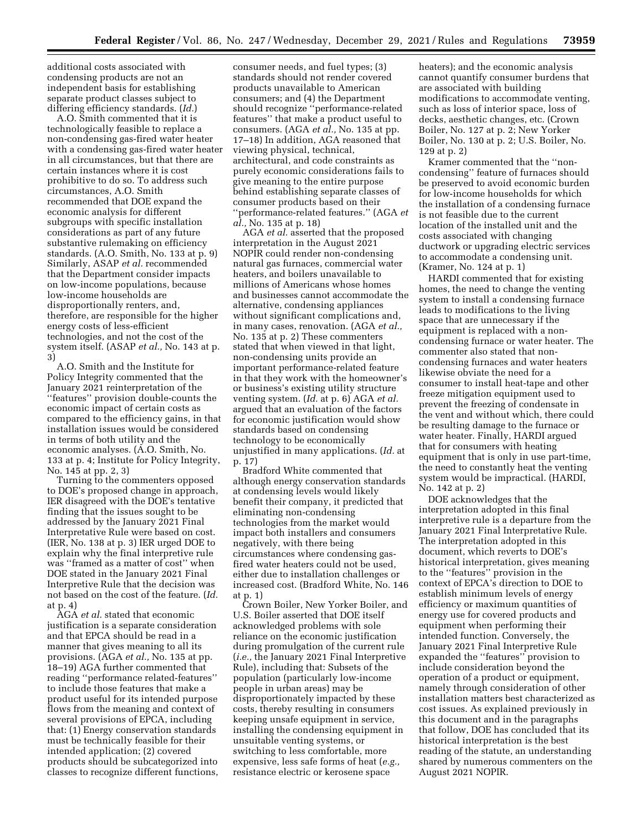additional costs associated with condensing products are not an independent basis for establishing separate product classes subject to differing efficiency standards. (*Id.*)

A.O. Smith commented that it is technologically feasible to replace a non-condensing gas-fired water heater with a condensing gas-fired water heater in all circumstances, but that there are certain instances where it is cost prohibitive to do so. To address such circumstances, A.O. Smith recommended that DOE expand the economic analysis for different subgroups with specific installation considerations as part of any future substantive rulemaking on efficiency standards. (A.O. Smith, No. 133 at p. 9) Similarly, ASAP *et al.* recommended that the Department consider impacts on low-income populations, because low-income households are disproportionally renters, and, therefore, are responsible for the higher energy costs of less-efficient technologies, and not the cost of the system itself. (ASAP *et al.,* No. 143 at p. 3)

A.O. Smith and the Institute for Policy Integrity commented that the January 2021 reinterpretation of the ''features'' provision double-counts the economic impact of certain costs as compared to the efficiency gains, in that installation issues would be considered in terms of both utility and the economic analyses. (A.O. Smith, No. 133 at p. 4; Institute for Policy Integrity, No. 145 at pp. 2, 3)

Turning to the commenters opposed to DOE's proposed change in approach, IER disagreed with the DOE's tentative finding that the issues sought to be addressed by the January 2021 Final Interpretative Rule were based on cost. (IER, No. 138 at p. 3) IER urged DOE to explain why the final interpretive rule was ''framed as a matter of cost'' when DOE stated in the January 2021 Final Interpretive Rule that the decision was not based on the cost of the feature. (*Id.*  at p. 4)

AGA *et al.* stated that economic justification is a separate consideration and that EPCA should be read in a manner that gives meaning to all its provisions. (AGA *et al.,* No. 135 at pp. 18–19) AGA further commented that reading ''performance related-features'' to include those features that make a product useful for its intended purpose flows from the meaning and context of several provisions of EPCA, including that: (1) Energy conservation standards must be technically feasible for their intended application; (2) covered products should be subcategorized into classes to recognize different functions,

consumer needs, and fuel types; (3) standards should not render covered products unavailable to American consumers; and (4) the Department should recognize ''performance-related features'' that make a product useful to consumers. (AGA *et al.,* No. 135 at pp. 17–18) In addition, AGA reasoned that viewing physical, technical, architectural, and code constraints as purely economic considerations fails to give meaning to the entire purpose behind establishing separate classes of consumer products based on their ''performance-related features.'' (AGA *et al.,* No. 135 at p. 18)

AGA *et al.* asserted that the proposed interpretation in the August 2021 NOPIR could render non-condensing natural gas furnaces, commercial water heaters, and boilers unavailable to millions of Americans whose homes and businesses cannot accommodate the alternative, condensing appliances without significant complications and, in many cases, renovation. (AGA *et al.,*  No. 135 at p. 2) These commenters stated that when viewed in that light, non-condensing units provide an important performance-related feature in that they work with the homeowner's or business's existing utility structure venting system. (*Id.* at p. 6) AGA *et al.*  argued that an evaluation of the factors for economic justification would show standards based on condensing technology to be economically unjustified in many applications. (*Id.* at p. 17)

Bradford White commented that although energy conservation standards at condensing levels would likely benefit their company, it predicted that eliminating non-condensing technologies from the market would impact both installers and consumers negatively, with there being circumstances where condensing gasfired water heaters could not be used, either due to installation challenges or increased cost. (Bradford White, No. 146 at p. 1)

Crown Boiler, New Yorker Boiler, and U.S. Boiler asserted that DOE itself acknowledged problems with sole reliance on the economic justification during promulgation of the current rule (*i.e.,* the January 2021 Final Interpretive Rule), including that: Subsets of the population (particularly low-income people in urban areas) may be disproportionately impacted by these costs, thereby resulting in consumers keeping unsafe equipment in service, installing the condensing equipment in unsuitable venting systems, or switching to less comfortable, more expensive, less safe forms of heat (*e.g.,*  resistance electric or kerosene space

heaters); and the economic analysis cannot quantify consumer burdens that are associated with building modifications to accommodate venting, such as loss of interior space, loss of decks, aesthetic changes, etc. (Crown Boiler, No. 127 at p. 2; New Yorker Boiler, No. 130 at p. 2; U.S. Boiler, No. 129 at p. 2)

Kramer commented that the ''noncondensing'' feature of furnaces should be preserved to avoid economic burden for low-income households for which the installation of a condensing furnace is not feasible due to the current location of the installed unit and the costs associated with changing ductwork or upgrading electric services to accommodate a condensing unit. (Kramer, No. 124 at p. 1)

HARDI commented that for existing homes, the need to change the venting system to install a condensing furnace leads to modifications to the living space that are unnecessary if the equipment is replaced with a noncondensing furnace or water heater. The commenter also stated that noncondensing furnaces and water heaters likewise obviate the need for a consumer to install heat-tape and other freeze mitigation equipment used to prevent the freezing of condensate in the vent and without which, there could be resulting damage to the furnace or water heater. Finally, HARDI argued that for consumers with heating equipment that is only in use part-time, the need to constantly heat the venting system would be impractical. (HARDI, No. 142 at p. 2)

DOE acknowledges that the interpretation adopted in this final interpretive rule is a departure from the January 2021 Final Interpretative Rule. The interpretation adopted in this document, which reverts to DOE's historical interpretation, gives meaning to the ''features'' provision in the context of EPCA's direction to DOE to establish minimum levels of energy efficiency or maximum quantities of energy use for covered products and equipment when performing their intended function. Conversely, the January 2021 Final Interpretive Rule expanded the ''features'' provision to include consideration beyond the operation of a product or equipment, namely through consideration of other installation matters best characterized as cost issues. As explained previously in this document and in the paragraphs that follow, DOE has concluded that its historical interpretation is the best reading of the statute, an understanding shared by numerous commenters on the August 2021 NOPIR.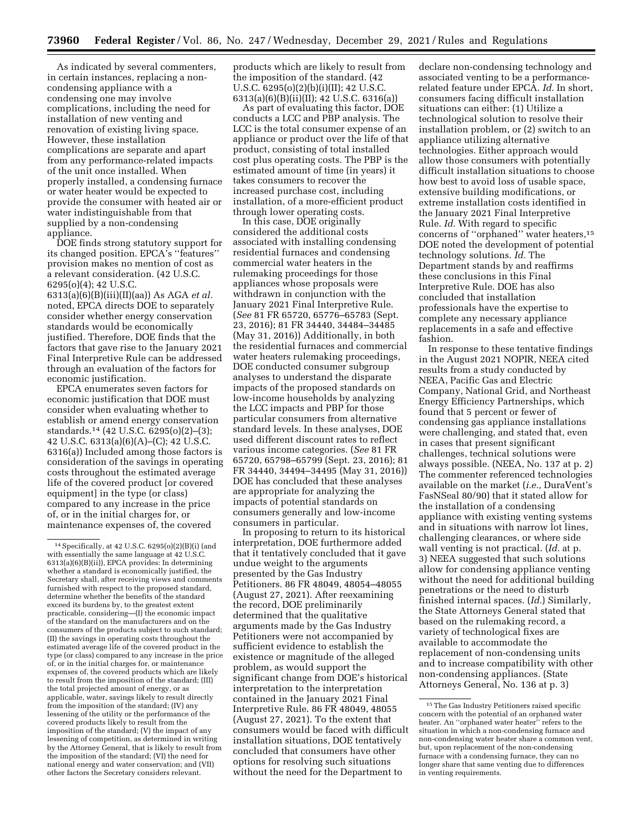As indicated by several commenters, in certain instances, replacing a noncondensing appliance with a condensing one may involve complications, including the need for installation of new venting and renovation of existing living space. However, these installation complications are separate and apart from any performance-related impacts of the unit once installed. When properly installed, a condensing furnace or water heater would be expected to provide the consumer with heated air or water indistinguishable from that supplied by a non-condensing appliance.

DOE finds strong statutory support for its changed position. EPCA's ''features'' provision makes no mention of cost as a relevant consideration. (42 U.S.C. 6295(o)(4); 42 U.S.C.

6313(a)(6)(B)(iii)(II)(aa)) As AGA *et al.*  noted, EPCA directs DOE to separately consider whether energy conservation standards would be economically justified. Therefore, DOE finds that the factors that gave rise to the January 2021 Final Interpretive Rule can be addressed through an evaluation of the factors for economic justification.

EPCA enumerates seven factors for economic justification that DOE must consider when evaluating whether to establish or amend energy conservation standards.14 (42 U.S.C. 6295(o)(2)–(3); 42 U.S.C. 6313(a)(6)(A)–(C); 42 U.S.C. 6316(a)) Included among those factors is consideration of the savings in operating costs throughout the estimated average life of the covered product [or covered equipment] in the type (or class) compared to any increase in the price of, or in the initial charges for, or maintenance expenses of, the covered

products which are likely to result from the imposition of the standard. (42 U.S.C. 6295(o)(2)(b)(i)(II); 42 U.S.C. 6313(a)(6)(B)(ii)(II); 42 U.S.C. 6316(a))

As part of evaluating this factor, DOE conducts a LCC and PBP analysis. The LCC is the total consumer expense of an appliance or product over the life of that product, consisting of total installed cost plus operating costs. The PBP is the estimated amount of time (in years) it takes consumers to recover the increased purchase cost, including installation, of a more-efficient product through lower operating costs.

In this case, DOE originally considered the additional costs associated with installing condensing residential furnaces and condensing commercial water heaters in the rulemaking proceedings for those appliances whose proposals were withdrawn in conjunction with the January 2021 Final Interpretive Rule. (*See* 81 FR 65720, 65776–65783 (Sept. 23, 2016); 81 FR 34440, 34484–34485 (May 31, 2016)) Additionally, in both the residential furnaces and commercial water heaters rulemaking proceedings, DOE conducted consumer subgroup analyses to understand the disparate impacts of the proposed standards on low-income households by analyzing the LCC impacts and PBP for those particular consumers from alternative standard levels. In these analyses, DOE used different discount rates to reflect various income categories. (*See* 81 FR 65720, 65798–65799 (Sept. 23, 2016); 81 FR 34440, 34494–34495 (May 31, 2016)) DOE has concluded that these analyses are appropriate for analyzing the impacts of potential standards on consumers generally and low-income consumers in particular.

In proposing to return to its historical interpretation, DOE furthermore added that it tentatively concluded that it gave undue weight to the arguments presented by the Gas Industry Petitioners. 86 FR 48049, 48054–48055 (August 27, 2021). After reexamining the record, DOE preliminarily determined that the qualitative arguments made by the Gas Industry Petitioners were not accompanied by sufficient evidence to establish the existence or magnitude of the alleged problem, as would support the significant change from DOE's historical interpretation to the interpretation contained in the January 2021 Final Interpretive Rule. 86 FR 48049, 48055 (August 27, 2021). To the extent that consumers would be faced with difficult installation situations, DOE tentatively concluded that consumers have other options for resolving such situations without the need for the Department to

declare non-condensing technology and associated venting to be a performancerelated feature under EPCA. *Id.* In short, consumers facing difficult installation situations can either: (1) Utilize a technological solution to resolve their installation problem, or (2) switch to an appliance utilizing alternative technologies. Either approach would allow those consumers with potentially difficult installation situations to choose how best to avoid loss of usable space, extensive building modifications, or extreme installation costs identified in the January 2021 Final Interpretive Rule. *Id.* With regard to specific concerns of ''orphaned'' water heaters,15 DOE noted the development of potential technology solutions. *Id.* The Department stands by and reaffirms these conclusions in this Final Interpretive Rule. DOE has also concluded that installation professionals have the expertise to complete any necessary appliance replacements in a safe and effective fashion.

In response to these tentative findings in the August 2021 NOPIR, NEEA cited results from a study conducted by NEEA, Pacific Gas and Electric Company, National Grid, and Northeast Energy Efficiency Partnerships, which found that 5 percent or fewer of condensing gas appliance installations were challenging, and stated that, even in cases that present significant challenges, technical solutions were always possible. (NEEA, No. 137 at p. 2) The commenter referenced technologies available on the market (*i.e.,* DuraVent's FasNSeal 80/90) that it stated allow for the installation of a condensing appliance with existing venting systems and in situations with narrow lot lines, challenging clearances, or where side wall venting is not practical. (*Id.* at p. 3) NEEA suggested that such solutions allow for condensing appliance venting without the need for additional building penetrations or the need to disturb finished internal spaces. (*Id.*) Similarly, the State Attorneys General stated that based on the rulemaking record, a variety of technological fixes are available to accommodate the replacement of non-condensing units and to increase compatibility with other non-condensing appliances. (State Attorneys General, No. 136 at p. 3)

<sup>14</sup>Specifically, at 42 U.S.C. 6295(o)(2)(B)(i) (and with essentially the same language at 42 U.S.C. 6313(a)(6)(B)(ii)), EPCA provides: In determining whether a standard is economically justified, the Secretary shall, after receiving views and comments furnished with respect to the proposed standard, determine whether the benefits of the standard exceed its burdens by, to the greatest extent practicable, considering—(I) the economic impact of the standard on the manufacturers and on the consumers of the products subject to such standard; (II) the savings in operating costs throughout the estimated average life of the covered product in the type (or class) compared to any increase in the price of, or in the initial charges for, or maintenance expenses of, the covered products which are likely to result from the imposition of the standard; (III) the total projected amount of energy, or as applicable, water, savings likely to result directly from the imposition of the standard; (IV) any lessening of the utility or the performance of the covered products likely to result from the imposition of the standard; (V) the impact of any lessening of competition, as determined in writing by the Attorney General, that is likely to result from the imposition of the standard; (VI) the need for national energy and water conservation; and (VII) other factors the Secretary considers relevant.

<sup>15</sup>The Gas Industry Petitioners raised specific concern with the potential of an orphaned water heater. An ''orphaned water heater'' refers to the situation in which a non-condensing furnace and non-condensing water heater share a common vent, but, upon replacement of the non-condensing furnace with a condensing furnace, they can no longer share that same venting due to differences in venting requirements.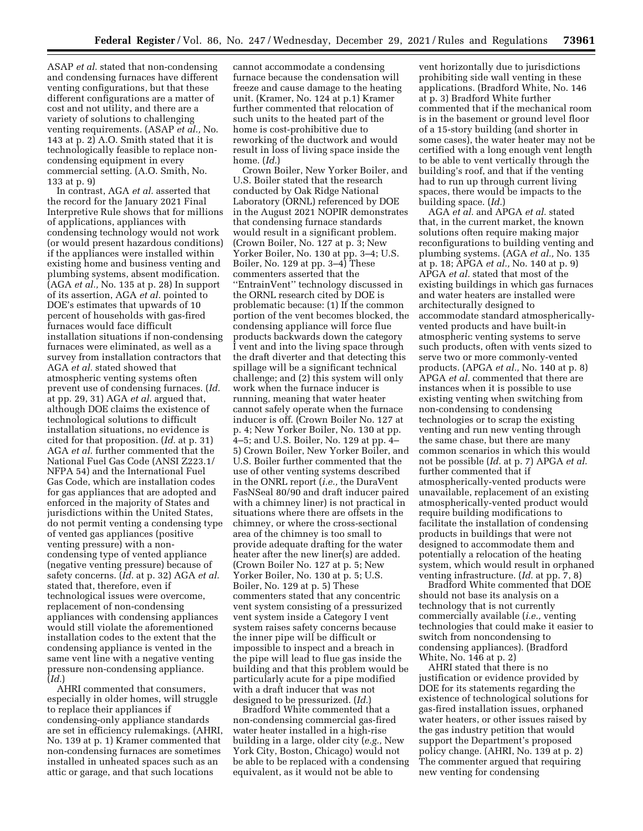ASAP *et al.* stated that non-condensing and condensing furnaces have different venting configurations, but that these different configurations are a matter of cost and not utility, and there are a variety of solutions to challenging venting requirements. (ASAP *et al.,* No. 143 at p. 2) A.O. Smith stated that it is technologically feasible to replace noncondensing equipment in every commercial setting. (A.O. Smith, No. 133 at p. 9)

In contrast, AGA *et al.* asserted that the record for the January 2021 Final Interpretive Rule shows that for millions of applications, appliances with condensing technology would not work (or would present hazardous conditions) if the appliances were installed within existing home and business venting and plumbing systems, absent modification. (AGA *et al.,* No. 135 at p. 28) In support of its assertion, AGA *et al.* pointed to DOE's estimates that upwards of 10 percent of households with gas-fired furnaces would face difficult installation situations if non-condensing furnaces were eliminated, as well as a survey from installation contractors that AGA *et al.* stated showed that atmospheric venting systems often prevent use of condensing furnaces. (*Id.*  at pp. 29, 31) AGA *et al.* argued that, although DOE claims the existence of technological solutions to difficult installation situations, no evidence is cited for that proposition. (*Id.* at p. 31) AGA *et al.* further commented that the National Fuel Gas Code (ANSI Z223.1/ NFPA 54) and the International Fuel Gas Code, which are installation codes for gas appliances that are adopted and enforced in the majority of States and jurisdictions within the United States, do not permit venting a condensing type of vented gas appliances (positive venting pressure) with a noncondensing type of vented appliance (negative venting pressure) because of safety concerns. (*Id.* at p. 32) AGA *et al.*  stated that, therefore, even if technological issues were overcome, replacement of non-condensing appliances with condensing appliances would still violate the aforementioned installation codes to the extent that the condensing appliance is vented in the same vent line with a negative venting pressure non-condensing appliance. (*Id.*)

AHRI commented that consumers, especially in older homes, will struggle to replace their appliances if condensing-only appliance standards are set in efficiency rulemakings. (AHRI, No. 139 at p. 1) Kramer commented that non-condensing furnaces are sometimes installed in unheated spaces such as an attic or garage, and that such locations

cannot accommodate a condensing furnace because the condensation will freeze and cause damage to the heating unit. (Kramer, No. 124 at p.1) Kramer further commented that relocation of such units to the heated part of the home is cost-prohibitive due to reworking of the ductwork and would result in loss of living space inside the home. (*Id.*)

Crown Boiler, New Yorker Boiler, and U.S. Boiler stated that the research conducted by Oak Ridge National Laboratory (ORNL) referenced by DOE in the August 2021 NOPIR demonstrates that condensing furnace standards would result in a significant problem. (Crown Boiler, No. 127 at p. 3; New Yorker Boiler, No. 130 at pp. 3–4; U.S. Boiler, No. 129 at pp. 3–4) These commenters asserted that the ''EntrainVent'' technology discussed in the ORNL research cited by DOE is problematic because: (1) If the common portion of the vent becomes blocked, the condensing appliance will force flue products backwards down the category I vent and into the living space through the draft diverter and that detecting this spillage will be a significant technical challenge; and (2) this system will only work when the furnace inducer is running, meaning that water heater cannot safely operate when the furnace inducer is off. (Crown Boiler No. 127 at p. 4; New Yorker Boiler, No. 130 at pp. 4–5; and U.S. Boiler, No. 129 at pp. 4– 5) Crown Boiler, New Yorker Boiler, and U.S. Boiler further commented that the use of other venting systems described in the ONRL report (*i.e.,* the DuraVent FasNSeal 80/90 and draft inducer paired with a chimney liner) is not practical in situations where there are offsets in the chimney, or where the cross-sectional area of the chimney is too small to provide adequate drafting for the water heater after the new liner(s) are added. (Crown Boiler No. 127 at p. 5; New Yorker Boiler, No. 130 at p. 5; U.S. Boiler, No. 129 at p. 5) These commenters stated that any concentric vent system consisting of a pressurized vent system inside a Category I vent system raises safety concerns because the inner pipe will be difficult or impossible to inspect and a breach in the pipe will lead to flue gas inside the building and that this problem would be particularly acute for a pipe modified with a draft inducer that was not designed to be pressurized. (*Id.*)

Bradford White commented that a non-condensing commercial gas-fired water heater installed in a high-rise building in a large, older city (*e.g.,* New York City, Boston, Chicago) would not be able to be replaced with a condensing equivalent, as it would not be able to

vent horizontally due to jurisdictions prohibiting side wall venting in these applications. (Bradford White, No. 146 at p. 3) Bradford White further commented that if the mechanical room is in the basement or ground level floor of a 15-story building (and shorter in some cases), the water heater may not be certified with a long enough vent length to be able to vent vertically through the building's roof, and that if the venting had to run up through current living spaces, there would be impacts to the building space. (*Id.*)

AGA *et al.* and APGA *et al.* stated that, in the current market, the known solutions often require making major reconfigurations to building venting and plumbing systems. (AGA *et al.,* No. 135 at p. 18; APGA *et al.,* No. 140 at p. 9) APGA *et al.* stated that most of the existing buildings in which gas furnaces and water heaters are installed were architecturally designed to accommodate standard atmosphericallyvented products and have built-in atmospheric venting systems to serve such products, often with vents sized to serve two or more commonly-vented products. (APGA *et al.,* No. 140 at p. 8) APGA *et al.* commented that there are instances when it is possible to use existing venting when switching from non-condensing to condensing technologies or to scrap the existing venting and run new venting through the same chase, but there are many common scenarios in which this would not be possible (*Id.* at p. 7) APGA *et al.*  further commented that if atmospherically-vented products were unavailable, replacement of an existing atmospherically-vented product would require building modifications to facilitate the installation of condensing products in buildings that were not designed to accommodate them and potentially a relocation of the heating system, which would result in orphaned venting infrastructure. (*Id.* at pp. 7, 8)

Bradford White commented that DOE should not base its analysis on a technology that is not currently commercially available (*i.e.,* venting technologies that could make it easier to switch from noncondensing to condensing appliances). (Bradford White, No. 146 at p. 2)

AHRI stated that there is no justification or evidence provided by DOE for its statements regarding the existence of technological solutions for gas-fired installation issues, orphaned water heaters, or other issues raised by the gas industry petition that would support the Department's proposed policy change. (AHRI, No. 139 at p. 2) The commenter argued that requiring new venting for condensing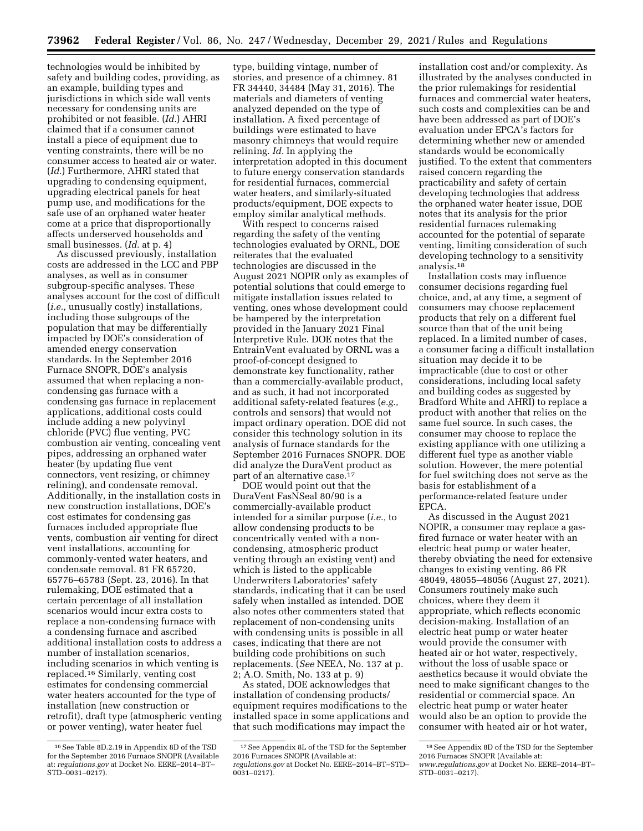technologies would be inhibited by safety and building codes, providing, as an example, building types and jurisdictions in which side wall vents necessary for condensing units are prohibited or not feasible. (*Id.*) AHRI claimed that if a consumer cannot install a piece of equipment due to venting constraints, there will be no consumer access to heated air or water. (*Id.*) Furthermore, AHRI stated that upgrading to condensing equipment, upgrading electrical panels for heat pump use, and modifications for the safe use of an orphaned water heater come at a price that disproportionally affects underserved households and small businesses. (*Id.* at p. 4)

As discussed previously, installation costs are addressed in the LCC and PBP analyses, as well as in consumer subgroup-specific analyses. These analyses account for the cost of difficult (*i.e.,* unusually costly) installations, including those subgroups of the population that may be differentially impacted by DOE's consideration of amended energy conservation standards. In the September 2016 Furnace SNOPR, DOE's analysis assumed that when replacing a noncondensing gas furnace with a condensing gas furnace in replacement applications, additional costs could include adding a new polyvinyl chloride (PVC) flue venting, PVC combustion air venting, concealing vent pipes, addressing an orphaned water heater (by updating flue vent connectors, vent resizing, or chimney relining), and condensate removal. Additionally, in the installation costs in new construction installations, DOE's cost estimates for condensing gas furnaces included appropriate flue vents, combustion air venting for direct vent installations, accounting for commonly-vented water heaters, and condensate removal. 81 FR 65720, 65776–65783 (Sept. 23, 2016). In that rulemaking, DOE estimated that a certain percentage of all installation scenarios would incur extra costs to replace a non-condensing furnace with a condensing furnace and ascribed additional installation costs to address a number of installation scenarios, including scenarios in which venting is replaced.16 Similarly, venting cost estimates for condensing commercial water heaters accounted for the type of installation (new construction or retrofit), draft type (atmospheric venting or power venting), water heater fuel

type, building vintage, number of stories, and presence of a chimney. 81 FR 34440, 34484 (May 31, 2016). The materials and diameters of venting analyzed depended on the type of installation. A fixed percentage of buildings were estimated to have masonry chimneys that would require relining. *Id.* In applying the interpretation adopted in this document to future energy conservation standards for residential furnaces, commercial water heaters, and similarly-situated products/equipment, DOE expects to employ similar analytical methods.

With respect to concerns raised regarding the safety of the venting technologies evaluated by ORNL, DOE reiterates that the evaluated technologies are discussed in the August 2021 NOPIR only as examples of potential solutions that could emerge to mitigate installation issues related to venting, ones whose development could be hampered by the interpretation provided in the January 2021 Final Interpretive Rule. DOE notes that the EntrainVent evaluated by ORNL was a proof-of-concept designed to demonstrate key functionality, rather than a commercially-available product, and as such, it had not incorporated additional safety-related features (*e.g.,*  controls and sensors) that would not impact ordinary operation. DOE did not consider this technology solution in its analysis of furnace standards for the September 2016 Furnaces SNOPR. DOE did analyze the DuraVent product as part of an alternative case.<sup>17</sup>

DOE would point out that the DuraVent FasNSeal 80/90 is a commercially-available product intended for a similar purpose (*i.e.,* to allow condensing products to be concentrically vented with a noncondensing, atmospheric product venting through an existing vent) and which is listed to the applicable Underwriters Laboratories' safety standards, indicating that it can be used safely when installed as intended. DOE also notes other commenters stated that replacement of non-condensing units with condensing units is possible in all cases, indicating that there are not building code prohibitions on such replacements. (*See* NEEA, No. 137 at p. 2; A.O. Smith, No. 133 at p. 9)

As stated, DOE acknowledges that installation of condensing products/ equipment requires modifications to the installed space in some applications and that such modifications may impact the

installation cost and/or complexity. As illustrated by the analyses conducted in the prior rulemakings for residential furnaces and commercial water heaters, such costs and complexities can be and have been addressed as part of DOE's evaluation under EPCA's factors for determining whether new or amended standards would be economically justified. To the extent that commenters raised concern regarding the practicability and safety of certain developing technologies that address the orphaned water heater issue, DOE notes that its analysis for the prior residential furnaces rulemaking accounted for the potential of separate venting, limiting consideration of such developing technology to a sensitivity analysis.18

Installation costs may influence consumer decisions regarding fuel choice, and, at any time, a segment of consumers may choose replacement products that rely on a different fuel source than that of the unit being replaced. In a limited number of cases, a consumer facing a difficult installation situation may decide it to be impracticable (due to cost or other considerations, including local safety and building codes as suggested by Bradford White and AHRI) to replace a product with another that relies on the same fuel source. In such cases, the consumer may choose to replace the existing appliance with one utilizing a different fuel type as another viable solution. However, the mere potential for fuel switching does not serve as the basis for establishment of a performance-related feature under EPCA.

As discussed in the August 2021 NOPIR, a consumer may replace a gasfired furnace or water heater with an electric heat pump or water heater, thereby obviating the need for extensive changes to existing venting. 86 FR 48049, 48055–48056 (August 27, 2021). Consumers routinely make such choices, where they deem it appropriate, which reflects economic decision-making. Installation of an electric heat pump or water heater would provide the consumer with heated air or hot water, respectively, without the loss of usable space or aesthetics because it would obviate the need to make significant changes to the residential or commercial space. An electric heat pump or water heater would also be an option to provide the consumer with heated air or hot water,

<sup>16</sup>See Table 8D.2.19 in Appendix 8D of the TSD for the September 2016 Furnace SNOPR (Available at: *[regulations.gov](http://www.regulations.gov)* at Docket No. EERE–2014–BT– STD–0031–0217).

<sup>17</sup>See Appendix 8L of the TSD for the September 2016 Furnaces SNOPR (Available at: *[regulations.gov](http://www.regulations.gov)* at Docket No. EERE–2014–BT–STD– 0031–0217).

<sup>18</sup>See Appendix 8D of the TSD for the September 2016 Furnaces SNOPR (Available at: *[www.regulations.gov](http://www.regulations.gov)* at Docket No. EERE–2014–BT– STD–0031–0217).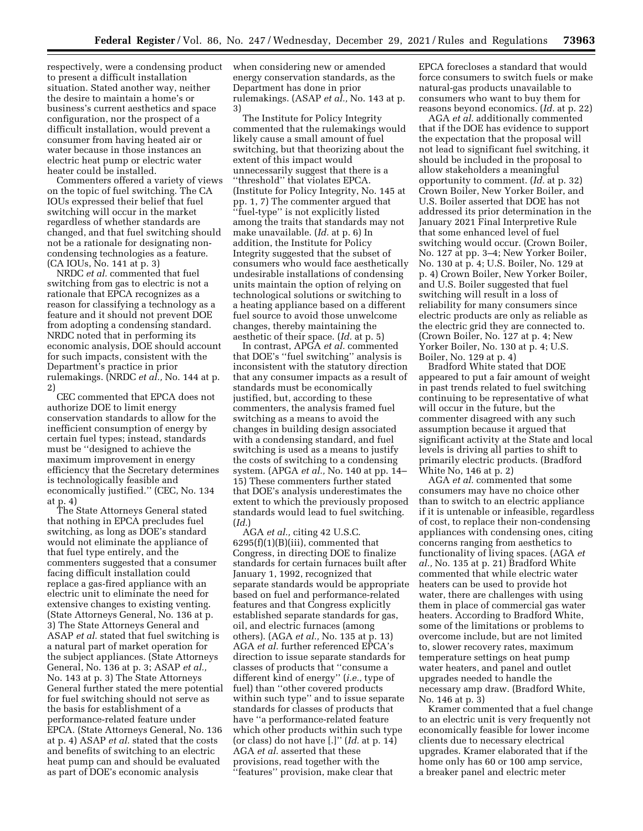respectively, were a condensing product to present a difficult installation situation. Stated another way, neither the desire to maintain a home's or business's current aesthetics and space configuration, nor the prospect of a difficult installation, would prevent a consumer from having heated air or water because in those instances an electric heat pump or electric water heater could be installed.

Commenters offered a variety of views on the topic of fuel switching. The CA IOUs expressed their belief that fuel switching will occur in the market regardless of whether standards are changed, and that fuel switching should not be a rationale for designating noncondensing technologies as a feature. (CA IOUs, No. 141 at p. 3)

NRDC *et al.* commented that fuel switching from gas to electric is not a rationale that EPCA recognizes as a reason for classifying a technology as a feature and it should not prevent DOE from adopting a condensing standard. NRDC noted that in performing its economic analysis, DOE should account for such impacts, consistent with the Department's practice in prior rulemakings. (NRDC *et al.,* No. 144 at p. 2)

CEC commented that EPCA does not authorize DOE to limit energy conservation standards to allow for the inefficient consumption of energy by certain fuel types; instead, standards must be ''designed to achieve the maximum improvement in energy efficiency that the Secretary determines is technologically feasible and economically justified.'' (CEC, No. 134 at p. 4)

The State Attorneys General stated that nothing in EPCA precludes fuel switching, as long as DOE's standard would not eliminate the appliance of that fuel type entirely, and the commenters suggested that a consumer facing difficult installation could replace a gas-fired appliance with an electric unit to eliminate the need for extensive changes to existing venting. (State Attorneys General, No. 136 at p. 3) The State Attorneys General and ASAP *et al.* stated that fuel switching is a natural part of market operation for the subject appliances. (State Attorneys General, No. 136 at p. 3; ASAP *et al.,*  No. 143 at p. 3) The State Attorneys General further stated the mere potential for fuel switching should not serve as the basis for establishment of a performance-related feature under EPCA. (State Attorneys General, No. 136 at p. 4) ASAP *et al.* stated that the costs and benefits of switching to an electric heat pump can and should be evaluated as part of DOE's economic analysis

when considering new or amended energy conservation standards, as the Department has done in prior rulemakings. (ASAP *et al.,* No. 143 at p. 3)

The Institute for Policy Integrity commented that the rulemakings would likely cause a small amount of fuel switching, but that theorizing about the extent of this impact would unnecessarily suggest that there is a ''threshold'' that violates EPCA. (Institute for Policy Integrity, No. 145 at pp. 1, 7) The commenter argued that ''fuel-type'' is not explicitly listed among the traits that standards may not make unavailable. (*Id.* at p. 6) In addition, the Institute for Policy Integrity suggested that the subset of consumers who would face aesthetically undesirable installations of condensing units maintain the option of relying on technological solutions or switching to a heating appliance based on a different fuel source to avoid those unwelcome changes, thereby maintaining the aesthetic of their space. (*Id.* at p. 5)

In contrast, APGA *et al.* commented that DOE's ''fuel switching'' analysis is inconsistent with the statutory direction that any consumer impacts as a result of standards must be economically justified, but, according to these commenters, the analysis framed fuel switching as a means to avoid the changes in building design associated with a condensing standard, and fuel switching is used as a means to justify the costs of switching to a condensing system. (APGA *et al.,* No. 140 at pp. 14– 15) These commenters further stated that DOE's analysis underestimates the extent to which the previously proposed standards would lead to fuel switching. (*Id.*)

AGA *et al.,* citing 42 U.S.C.  $6295(f)(1)(B)(iii)$ , commented that Congress, in directing DOE to finalize standards for certain furnaces built after January 1, 1992, recognized that separate standards would be appropriate based on fuel and performance-related features and that Congress explicitly established separate standards for gas, oil, and electric furnaces (among others). (AGA *et al.,* No. 135 at p. 13) AGA *et al.* further referenced EPCA's direction to issue separate standards for classes of products that ''consume a different kind of energy'' (*i.e.,* type of fuel) than ''other covered products within such type'' and to issue separate standards for classes of products that have ''a performance-related feature which other products within such type (or class) do not have [.]'' (*Id.* at p. 14) AGA *et al.* asserted that these provisions, read together with the ''features'' provision, make clear that

EPCA forecloses a standard that would force consumers to switch fuels or make natural-gas products unavailable to consumers who want to buy them for reasons beyond economics. (*Id.* at p. 22)

AGA *et al.* additionally commented that if the DOE has evidence to support the expectation that the proposal will not lead to significant fuel switching, it should be included in the proposal to allow stakeholders a meaningful opportunity to comment. (*Id.* at p. 32) Crown Boiler, New Yorker Boiler, and U.S. Boiler asserted that DOE has not addressed its prior determination in the January 2021 Final Interpretive Rule that some enhanced level of fuel switching would occur. (Crown Boiler, No. 127 at pp. 3–4; New Yorker Boiler, No. 130 at p. 4; U.S. Boiler, No. 129 at p. 4) Crown Boiler, New Yorker Boiler, and U.S. Boiler suggested that fuel switching will result in a loss of reliability for many consumers since electric products are only as reliable as the electric grid they are connected to. (Crown Boiler, No. 127 at p. 4; New Yorker Boiler, No. 130 at p. 4; U.S. Boiler, No. 129 at p. 4)

Bradford White stated that DOE appeared to put a fair amount of weight in past trends related to fuel switching continuing to be representative of what will occur in the future, but the commenter disagreed with any such assumption because it argued that significant activity at the State and local levels is driving all parties to shift to primarily electric products. (Bradford White No, 146 at p. 2)

AGA *et al.* commented that some consumers may have no choice other than to switch to an electric appliance if it is untenable or infeasible, regardless of cost, to replace their non-condensing appliances with condensing ones, citing concerns ranging from aesthetics to functionality of living spaces. (AGA *et al.,* No. 135 at p. 21) Bradford White commented that while electric water heaters can be used to provide hot water, there are challenges with using them in place of commercial gas water heaters. According to Bradford White, some of the limitations or problems to overcome include, but are not limited to, slower recovery rates, maximum temperature settings on heat pump water heaters, and panel and outlet upgrades needed to handle the necessary amp draw. (Bradford White, No. 146 at p. 3)

Kramer commented that a fuel change to an electric unit is very frequently not economically feasible for lower income clients due to necessary electrical upgrades. Kramer elaborated that if the home only has 60 or 100 amp service, a breaker panel and electric meter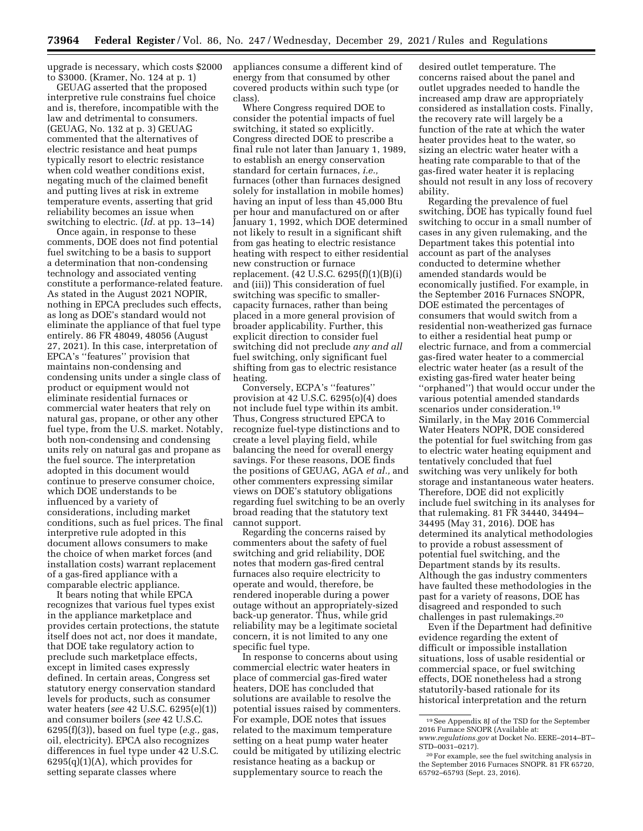upgrade is necessary, which costs \$2000 to \$3000. (Kramer, No. 124 at p. 1)

GEUAG asserted that the proposed interpretive rule constrains fuel choice and is, therefore, incompatible with the law and detrimental to consumers. (GEUAG, No. 132 at p. 3) GEUAG commented that the alternatives of electric resistance and heat pumps typically resort to electric resistance when cold weather conditions exist, negating much of the claimed benefit and putting lives at risk in extreme temperature events, asserting that grid reliability becomes an issue when switching to electric. (*Id.* at pp. 13–14)

Once again, in response to these comments, DOE does not find potential fuel switching to be a basis to support a determination that non-condensing technology and associated venting constitute a performance-related feature. As stated in the August 2021 NOPIR, nothing in EPCA precludes such effects, as long as DOE's standard would not eliminate the appliance of that fuel type entirely. 86 FR 48049, 48056 (August 27, 2021). In this case, interpretation of EPCA's ''features'' provision that maintains non-condensing and condensing units under a single class of product or equipment would not eliminate residential furnaces or commercial water heaters that rely on natural gas, propane, or other any other fuel type, from the U.S. market. Notably, both non-condensing and condensing units rely on natural gas and propane as the fuel source. The interpretation adopted in this document would continue to preserve consumer choice, which DOE understands to be influenced by a variety of considerations, including market conditions, such as fuel prices. The final interpretive rule adopted in this document allows consumers to make the choice of when market forces (and installation costs) warrant replacement of a gas-fired appliance with a comparable electric appliance.

It bears noting that while EPCA recognizes that various fuel types exist in the appliance marketplace and provides certain protections, the statute itself does not act, nor does it mandate, that DOE take regulatory action to preclude such marketplace effects, except in limited cases expressly defined. In certain areas, Congress set statutory energy conservation standard levels for products, such as consumer water heaters (*see* 42 U.S.C. 6295(e)(1)) and consumer boilers (*see* 42 U.S.C. 6295(f)(3)), based on fuel type (*e.g.,* gas, oil, electricity). EPCA also recognizes differences in fuel type under 42 U.S.C.  $6295(q)(1)(A)$ , which provides for setting separate classes where

appliances consume a different kind of energy from that consumed by other covered products within such type (or class).

Where Congress required DOE to consider the potential impacts of fuel switching, it stated so explicitly. Congress directed DOE to prescribe a final rule not later than January 1, 1989, to establish an energy conservation standard for certain furnaces, *i.e.,*  furnaces (other than furnaces designed solely for installation in mobile homes) having an input of less than 45,000 Btu per hour and manufactured on or after January 1, 1992, which DOE determined not likely to result in a significant shift from gas heating to electric resistance heating with respect to either residential new construction or furnace replacement. (42 U.S.C. 6295(f)(1)(B)(i) and (iii)) This consideration of fuel switching was specific to smallercapacity furnaces, rather than being placed in a more general provision of broader applicability. Further, this explicit direction to consider fuel switching did not preclude *any and all*  fuel switching, only significant fuel shifting from gas to electric resistance heating.

Conversely, ECPA's ''features'' provision at 42 U.S.C. 6295(o)(4) does not include fuel type within its ambit. Thus, Congress structured EPCA to recognize fuel-type distinctions and to create a level playing field, while balancing the need for overall energy savings. For these reasons, DOE finds the positions of GEUAG, AGA *et al.,* and other commenters expressing similar views on DOE's statutory obligations regarding fuel switching to be an overly broad reading that the statutory text cannot support.

Regarding the concerns raised by commenters about the safety of fuel switching and grid reliability, DOE notes that modern gas-fired central furnaces also require electricity to operate and would, therefore, be rendered inoperable during a power outage without an appropriately-sized back-up generator. Thus, while grid reliability may be a legitimate societal concern, it is not limited to any one specific fuel type.

In response to concerns about using commercial electric water heaters in place of commercial gas-fired water heaters, DOE has concluded that solutions are available to resolve the potential issues raised by commenters. For example, DOE notes that issues related to the maximum temperature setting on a heat pump water heater could be mitigated by utilizing electric resistance heating as a backup or supplementary source to reach the

desired outlet temperature. The concerns raised about the panel and outlet upgrades needed to handle the increased amp draw are appropriately considered as installation costs. Finally, the recovery rate will largely be a function of the rate at which the water heater provides heat to the water, so sizing an electric water heater with a heating rate comparable to that of the gas-fired water heater it is replacing should not result in any loss of recovery ability.

Regarding the prevalence of fuel switching, DOE has typically found fuel switching to occur in a small number of cases in any given rulemaking, and the Department takes this potential into account as part of the analyses conducted to determine whether amended standards would be economically justified. For example, in the September 2016 Furnaces SNOPR, DOE estimated the percentages of consumers that would switch from a residential non-weatherized gas furnace to either a residential heat pump or electric furnace, and from a commercial gas-fired water heater to a commercial electric water heater (as a result of the existing gas-fired water heater being ''orphaned'') that would occur under the various potential amended standards scenarios under consideration.19 Similarly, in the May 2016 Commercial Water Heaters NOPR, DOE considered the potential for fuel switching from gas to electric water heating equipment and tentatively concluded that fuel switching was very unlikely for both storage and instantaneous water heaters. Therefore, DOE did not explicitly include fuel switching in its analyses for that rulemaking. 81 FR 34440, 34494– 34495 (May 31, 2016). DOE has determined its analytical methodologies to provide a robust assessment of potential fuel switching, and the Department stands by its results. Although the gas industry commenters have faulted these methodologies in the past for a variety of reasons, DOE has disagreed and responded to such challenges in past rulemakings.20

Even if the Department had definitive evidence regarding the extent of difficult or impossible installation situations, loss of usable residential or commercial space, or fuel switching effects, DOE nonetheless had a strong statutorily-based rationale for its historical interpretation and the return

<sup>19</sup>See Appendix 8J of the TSD for the September 2016 Furnace SNOPR (Available at: *[www.regulations.gov](http://www.regulations.gov)* at Docket No. EERE–2014–BT– STD–0031–0217).

<sup>20</sup>For example, see the fuel switching analysis in the September 2016 Furnaces SNOPR. 81 FR 65720, 65792–65793 (Sept. 23, 2016).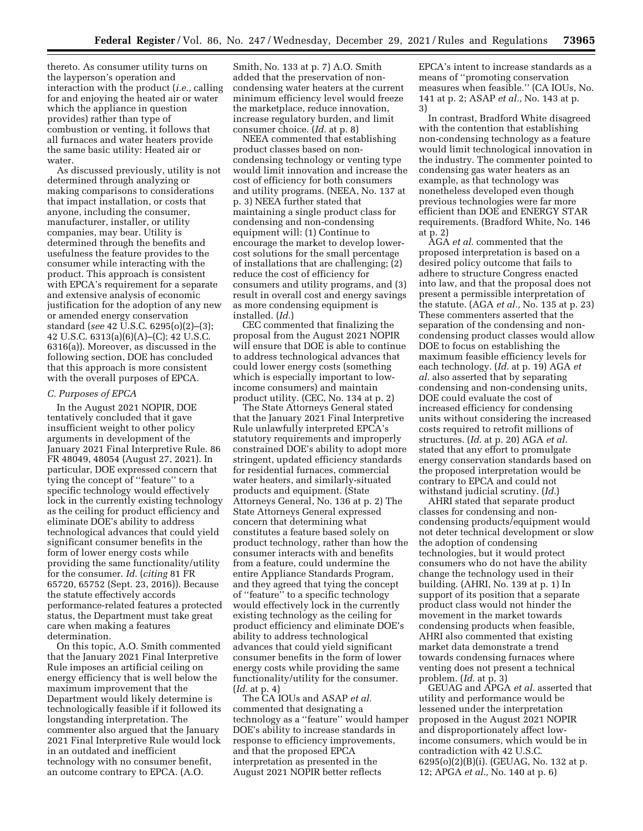thereto. As consumer utility turns on the layperson's operation and interaction with the product (*i.e.,* calling for and enjoying the heated air or water which the appliance in question provides) rather than type of combustion or venting, it follows that all furnaces and water heaters provide the same basic utility: Heated air or water.

As discussed previously, utility is not determined through analyzing or making comparisons to considerations that impact installation, or costs that anyone, including the consumer, manufacturer, installer, or utility companies, may bear. Utility is determined through the benefits and usefulness the feature provides to the consumer while interacting with the product. This approach is consistent with EPCA's requirement for a separate and extensive analysis of economic justification for the adoption of any new or amended energy conservation standard (*see* 42 U.S.C. 6295(o)(2)–(3); 42 U.S.C. 6313(a)(6)(A)–(C); 42 U.S.C. 6316(a)). Moreover, as discussed in the following section, DOE has concluded that this approach is more consistent with the overall purposes of EPCA.

#### *C. Purposes of EPCA*

In the August 2021 NOPIR, DOE tentatively concluded that it gave insufficient weight to other policy arguments in development of the January 2021 Final Interpretive Rule. 86 FR 48049, 48054 (August 27, 2021). In particular, DOE expressed concern that tying the concept of ''feature'' to a specific technology would effectively lock in the currently existing technology as the ceiling for product efficiency and eliminate DOE's ability to address technological advances that could yield significant consumer benefits in the form of lower energy costs while providing the same functionality/utility for the consumer. *Id.* (*citing* 81 FR 65720, 65752 (Sept. 23, 2016)). Because the statute effectively accords performance-related features a protected status, the Department must take great care when making a features determination.

On this topic, A.O. Smith commented that the January 2021 Final Interpretive Rule imposes an artificial ceiling on energy efficiency that is well below the maximum improvement that the Department would likely determine is technologically feasible if it followed its longstanding interpretation. The commenter also argued that the January 2021 Final Interpretive Rule would lock in an outdated and inefficient technology with no consumer benefit, an outcome contrary to EPCA. (A.O.

Smith, No. 133 at p. 7) A.O. Smith added that the preservation of noncondensing water heaters at the current minimum efficiency level would freeze the marketplace, reduce innovation, increase regulatory burden, and limit consumer choice. (*Id.* at p. 8)

NEEA commented that establishing product classes based on noncondensing technology or venting type would limit innovation and increase the cost of efficiency for both consumers and utility programs. (NEEA, No. 137 at p. 3) NEEA further stated that maintaining a single product class for condensing and non-condensing equipment will: (1) Continue to encourage the market to develop lowercost solutions for the small percentage of installations that are challenging; (2) reduce the cost of efficiency for consumers and utility programs, and (3) result in overall cost and energy savings as more condensing equipment is installed. (*Id.*)

CEC commented that finalizing the proposal from the August 2021 NOPIR will ensure that DOE is able to continue to address technological advances that could lower energy costs (something which is especially important to lowincome consumers) and maintain product utility. (CEC, No. 134 at p. 2)

The State Attorneys General stated that the January 2021 Final Interpretive Rule unlawfully interpreted EPCA's statutory requirements and improperly constrained DOE's ability to adopt more stringent, updated efficiency standards for residential furnaces, commercial water heaters, and similarly-situated products and equipment. (State Attorneys General, No. 136 at p. 2) The State Attorneys General expressed concern that determining what constitutes a feature based solely on product technology, rather than how the consumer interacts with and benefits from a feature, could undermine the entire Appliance Standards Program, and they agreed that tying the concept of ''feature'' to a specific technology would effectively lock in the currently existing technology as the ceiling for product efficiency and eliminate DOE's ability to address technological advances that could yield significant consumer benefits in the form of lower energy costs while providing the same functionality/utility for the consumer. (*Id.* at p. 4)

The CA IOUs and ASAP *et al.*  commented that designating a technology as a ''feature'' would hamper DOE's ability to increase standards in response to efficiency improvements, and that the proposed EPCA interpretation as presented in the August 2021 NOPIR better reflects

EPCA's intent to increase standards as a means of ''promoting conservation measures when feasible.'' (CA IOUs, No. 141 at p. 2; ASAP *et al.,* No. 143 at p. 3)

In contrast, Bradford White disagreed with the contention that establishing non-condensing technology as a feature would limit technological innovation in the industry. The commenter pointed to condensing gas water heaters as an example, as that technology was nonetheless developed even though previous technologies were far more efficient than DOE and ENERGY STAR requirements. (Bradford White, No. 146 at p. 2)

AGA *et al.* commented that the proposed interpretation is based on a desired policy outcome that fails to adhere to structure Congress enacted into law, and that the proposal does not present a permissible interpretation of the statute. (AGA *et al.,* No. 135 at p. 23) These commenters asserted that the separation of the condensing and noncondensing product classes would allow DOE to focus on establishing the maximum feasible efficiency levels for each technology. (*Id.* at p. 19) AGA *et al.* also asserted that by separating condensing and non-condensing units, DOE could evaluate the cost of increased efficiency for condensing units without considering the increased costs required to retrofit millions of structures. (*Id.* at p. 20) AGA *et al.*  stated that any effort to promulgate energy conservation standards based on the proposed interpretation would be contrary to EPCA and could not withstand judicial scrutiny. (*Id.*)

AHRI stated that separate product classes for condensing and noncondensing products/equipment would not deter technical development or slow the adoption of condensing technologies, but it would protect consumers who do not have the ability change the technology used in their building. (AHRI, No. 139 at p. 1) In support of its position that a separate product class would not hinder the movement in the market towards condensing products when feasible, AHRI also commented that existing market data demonstrate a trend towards condensing furnaces where venting does not present a technical problem. (*Id.* at p. 3)

GEUAG and APGA *et al.* asserted that utility and performance would be lessened under the interpretation proposed in the August 2021 NOPIR and disproportionately affect lowincome consumers, which would be in contradiction with 42 U.S.C. 6295(o)(2)(B)(i). (GEUAG, No. 132 at p. 12; APGA *et al.,* No. 140 at p. 6)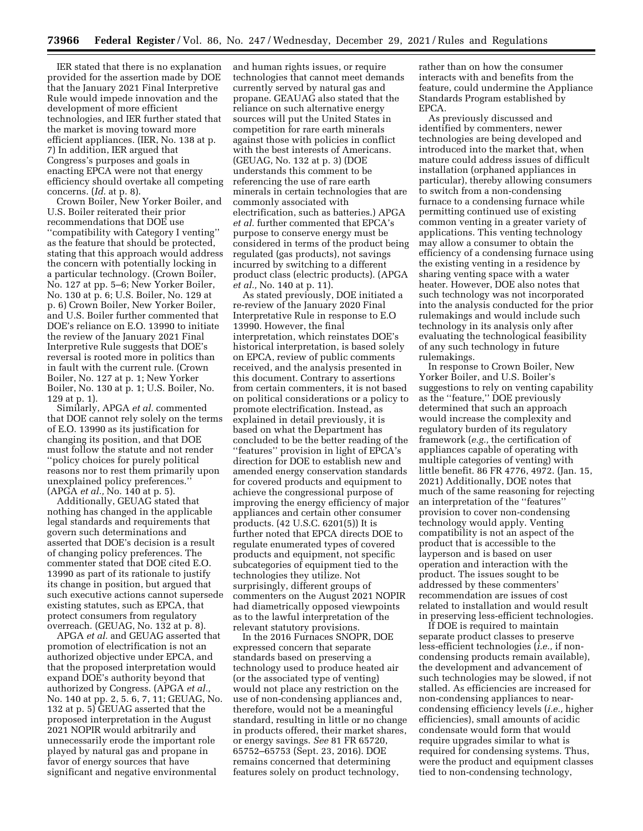IER stated that there is no explanation provided for the assertion made by DOE that the January 2021 Final Interpretive Rule would impede innovation and the development of more efficient technologies, and IER further stated that the market is moving toward more efficient appliances. (IER, No. 138 at p. 7) In addition, IER argued that Congress's purposes and goals in enacting EPCA were not that energy efficiency should overtake all competing concerns. (*Id.* at p. 8).

Crown Boiler, New Yorker Boiler, and U.S. Boiler reiterated their prior recommendations that DOE use ''compatibility with Category I venting'' as the feature that should be protected, stating that this approach would address the concern with potentially locking in a particular technology. (Crown Boiler, No. 127 at pp. 5–6; New Yorker Boiler, No. 130 at p. 6; U.S. Boiler, No. 129 at p. 6) Crown Boiler, New Yorker Boiler, and U.S. Boiler further commented that DOE's reliance on E.O. 13990 to initiate the review of the January 2021 Final Interpretive Rule suggests that DOE's reversal is rooted more in politics than in fault with the current rule. (Crown Boiler, No. 127 at p. 1; New Yorker Boiler, No. 130 at p. 1; U.S. Boiler, No. 129 at p. 1).

Similarly, APGA *et al.* commented that DOE cannot rely solely on the terms of E.O. 13990 as its justification for changing its position, and that DOE must follow the statute and not render ''policy choices for purely political reasons nor to rest them primarily upon unexplained policy preferences.'' (APGA *et al.,* No. 140 at p. 5).

Additionally, GEUAG stated that nothing has changed in the applicable legal standards and requirements that govern such determinations and asserted that DOE's decision is a result of changing policy preferences. The commenter stated that DOE cited E.O. 13990 as part of its rationale to justify its change in position, but argued that such executive actions cannot supersede existing statutes, such as EPCA, that protect consumers from regulatory overreach. (GEUAG, No. 132 at p. 8).

APGA *et al.* and GEUAG asserted that promotion of electrification is not an authorized objective under EPCA, and that the proposed interpretation would expand DOE's authority beyond that authorized by Congress. (APGA *et al.,*  No. 140 at pp. 2, 5. 6, 7, 11; GEUAG, No. 132 at p. 5) GEUAG asserted that the proposed interpretation in the August 2021 NOPIR would arbitrarily and unnecessarily erode the important role played by natural gas and propane in favor of energy sources that have significant and negative environmental

and human rights issues, or require technologies that cannot meet demands currently served by natural gas and propane. GEAUAG also stated that the reliance on such alternative energy sources will put the United States in competition for rare earth minerals against those with policies in conflict with the best interests of Americans. (GEUAG, No. 132 at p. 3) (DOE understands this comment to be referencing the use of rare earth minerals in certain technologies that are commonly associated with electrification, such as batteries.) APGA *et al.* further commented that EPCA's purpose to conserve energy must be considered in terms of the product being regulated (gas products), not savings incurred by switching to a different product class (electric products). (APGA *et al.,* No. 140 at p. 11).

As stated previously, DOE initiated a re-review of the January 2020 Final Interpretative Rule in response to E.O 13990. However, the final interpretation, which reinstates DOE's historical interpretation, is based solely on EPCA, review of public comments received, and the analysis presented in this document. Contrary to assertions from certain commenters, it is not based on political considerations or a policy to promote electrification. Instead, as explained in detail previously, it is based on what the Department has concluded to be the better reading of the ''features'' provision in light of EPCA's direction for DOE to establish new and amended energy conservation standards for covered products and equipment to achieve the congressional purpose of improving the energy efficiency of major appliances and certain other consumer products. (42 U.S.C. 6201(5)) It is further noted that EPCA directs DOE to regulate enumerated types of covered products and equipment, not specific subcategories of equipment tied to the technologies they utilize. Not surprisingly, different groups of commenters on the August 2021 NOPIR had diametrically opposed viewpoints as to the lawful interpretation of the relevant statutory provisions.

In the 2016 Furnaces SNOPR, DOE expressed concern that separate standards based on preserving a technology used to produce heated air (or the associated type of venting) would not place any restriction on the use of non-condensing appliances and, therefore, would not be a meaningful standard, resulting in little or no change in products offered, their market shares, or energy savings. *See* 81 FR 65720, 65752–65753 (Sept. 23, 2016). DOE remains concerned that determining features solely on product technology,

rather than on how the consumer interacts with and benefits from the feature, could undermine the Appliance Standards Program established by EPCA.

As previously discussed and identified by commenters, newer technologies are being developed and introduced into the market that, when mature could address issues of difficult installation (orphaned appliances in particular), thereby allowing consumers to switch from a non-condensing furnace to a condensing furnace while permitting continued use of existing common venting in a greater variety of applications. This venting technology may allow a consumer to obtain the efficiency of a condensing furnace using the existing venting in a residence by sharing venting space with a water heater. However, DOE also notes that such technology was not incorporated into the analysis conducted for the prior rulemakings and would include such technology in its analysis only after evaluating the technological feasibility of any such technology in future rulemakings.

In response to Crown Boiler, New Yorker Boiler, and U.S. Boiler's suggestions to rely on venting capability as the ''feature,'' DOE previously determined that such an approach would increase the complexity and regulatory burden of its regulatory framework (*e.g.,* the certification of appliances capable of operating with multiple categories of venting) with little benefit. 86 FR 4776, 4972. (Jan. 15, 2021) Additionally, DOE notes that much of the same reasoning for rejecting an interpretation of the ''features'' provision to cover non-condensing technology would apply. Venting compatibility is not an aspect of the product that is accessible to the layperson and is based on user operation and interaction with the product. The issues sought to be addressed by these commenters' recommendation are issues of cost related to installation and would result in preserving less-efficient technologies.

If DOE is required to maintain separate product classes to preserve less-efficient technologies (*i.e.,* if noncondensing products remain available), the development and advancement of such technologies may be slowed, if not stalled. As efficiencies are increased for non-condensing appliances to nearcondensing efficiency levels (*i.e.,* higher efficiencies), small amounts of acidic condensate would form that would require upgrades similar to what is required for condensing systems. Thus, were the product and equipment classes tied to non-condensing technology,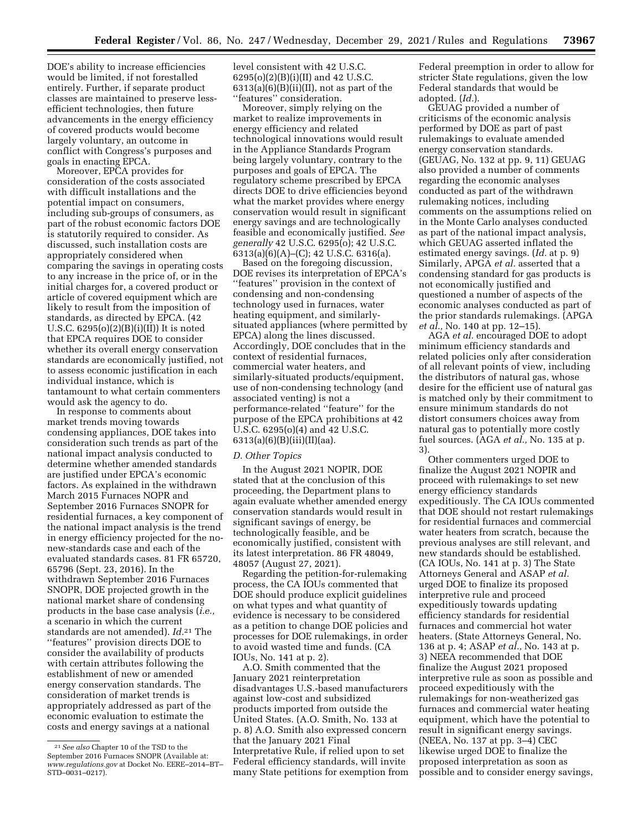DOE's ability to increase efficiencies would be limited, if not forestalled entirely. Further, if separate product classes are maintained to preserve lessefficient technologies, then future advancements in the energy efficiency of covered products would become largely voluntary, an outcome in conflict with Congress's purposes and goals in enacting EPCA.

Moreover, EPCA provides for consideration of the costs associated with difficult installations and the potential impact on consumers, including sub-groups of consumers, as part of the robust economic factors DOE is statutorily required to consider. As discussed, such installation costs are appropriately considered when comparing the savings in operating costs to any increase in the price of, or in the initial charges for, a covered product or article of covered equipment which are likely to result from the imposition of standards, as directed by EPCA. (42 U.S.C.  $6295(o)(2)(B)(i)(II))$  It is noted that EPCA requires DOE to consider whether its overall energy conservation standards are economically justified, not to assess economic justification in each individual instance, which is tantamount to what certain commenters would ask the agency to do.

In response to comments about market trends moving towards condensing appliances, DOE takes into consideration such trends as part of the national impact analysis conducted to determine whether amended standards are justified under EPCA's economic factors. As explained in the withdrawn March 2015 Furnaces NOPR and September 2016 Furnaces SNOPR for residential furnaces, a key component of the national impact analysis is the trend in energy efficiency projected for the nonew-standards case and each of the evaluated standards cases. 81 FR 65720, 65796 (Sept. 23, 2016). In the withdrawn September 2016 Furnaces SNOPR, DOE projected growth in the national market share of condensing products in the base case analysis (*i.e.,*  a scenario in which the current standards are not amended). *Id.*21 The ''features'' provision directs DOE to consider the availability of products with certain attributes following the establishment of new or amended energy conservation standards. The consideration of market trends is appropriately addressed as part of the economic evaluation to estimate the costs and energy savings at a national

level consistent with 42 U.S.C. 6295(o)(2)(B)(i)(II) and 42 U.S.C.  $6313(a)(6)(B)(ii)(II)$ , not as part of the ''features'' consideration.

Moreover, simply relying on the market to realize improvements in energy efficiency and related technological innovations would result in the Appliance Standards Program being largely voluntary, contrary to the purposes and goals of EPCA. The regulatory scheme prescribed by EPCA directs DOE to drive efficiencies beyond what the market provides where energy conservation would result in significant energy savings and are technologically feasible and economically justified. *See generally* 42 U.S.C. 6295(o); 42 U.S.C.  $6313(a)(6)(A)$ –(C); 42 U.S.C. 6316(a).

Based on the foregoing discussion, DOE revises its interpretation of EPCA's ''features'' provision in the context of condensing and non-condensing technology used in furnaces, water heating equipment, and similarlysituated appliances (where permitted by EPCA) along the lines discussed. Accordingly, DOE concludes that in the context of residential furnaces, commercial water heaters, and similarly-situated products/equipment, use of non-condensing technology (and associated venting) is not a performance-related ''feature'' for the purpose of the EPCA prohibitions at 42 U.S.C. 6295(o)(4) and 42 U.S.C. 6313(a)(6)(B)(iii)(II)(aa).

#### *D. Other Topics*

In the August 2021 NOPIR, DOE stated that at the conclusion of this proceeding, the Department plans to again evaluate whether amended energy conservation standards would result in significant savings of energy, be technologically feasible, and be economically justified, consistent with its latest interpretation. 86 FR 48049, 48057 (August 27, 2021).

Regarding the petition-for-rulemaking process, the CA IOUs commented that DOE should produce explicit guidelines on what types and what quantity of evidence is necessary to be considered as a petition to change DOE policies and processes for DOE rulemakings, in order to avoid wasted time and funds. (CA IOUs, No. 141 at p. 2).

A.O. Smith commented that the January 2021 reinterpretation disadvantages U.S.-based manufacturers against low-cost and subsidized products imported from outside the United States. (A.O. Smith, No. 133 at p. 8) A.O. Smith also expressed concern that the January 2021 Final Interpretative Rule, if relied upon to set Federal efficiency standards, will invite many State petitions for exemption from Federal preemption in order to allow for stricter State regulations, given the low Federal standards that would be adopted. (*Id.*).

GEUAG provided a number of criticisms of the economic analysis performed by DOE as part of past rulemakings to evaluate amended energy conservation standards. (GEUAG, No. 132 at pp. 9, 11) GEUAG also provided a number of comments regarding the economic analyses conducted as part of the withdrawn rulemaking notices, including comments on the assumptions relied on in the Monte Carlo analyses conducted as part of the national impact analysis, which GEUAG asserted inflated the estimated energy savings. (*Id.* at p. 9) Similarly, APGA *et al.* asserted that a condensing standard for gas products is not economically justified and questioned a number of aspects of the economic analyses conducted as part of the prior standards rulemakings. (APGA *et al.,* No. 140 at pp. 12–15).

AGA *et al.* encouraged DOE to adopt minimum efficiency standards and related policies only after consideration of all relevant points of view, including the distributors of natural gas, whose desire for the efficient use of natural gas is matched only by their commitment to ensure minimum standards do not distort consumers choices away from natural gas to potentially more costly fuel sources. (AGA *et al.,* No. 135 at p. 3).

Other commenters urged DOE to finalize the August 2021 NOPIR and proceed with rulemakings to set new energy efficiency standards expeditiously. The CA IOUs commented that DOE should not restart rulemakings for residential furnaces and commercial water heaters from scratch, because the previous analyses are still relevant, and new standards should be established. (CA IOUs, No. 141 at p. 3) The State Attorneys General and ASAP *et al.*  urged DOE to finalize its proposed interpretive rule and proceed expeditiously towards updating efficiency standards for residential furnaces and commercial hot water heaters. (State Attorneys General, No. 136 at p. 4; ASAP *et al.,* No. 143 at p. 3) NEEA recommended that DOE finalize the August 2021 proposed interpretive rule as soon as possible and proceed expeditiously with the rulemakings for non-weatherized gas furnaces and commercial water heating equipment, which have the potential to result in significant energy savings. (NEEA, No. 137 at pp. 3–4) CEC likewise urged DOE to finalize the proposed interpretation as soon as possible and to consider energy savings,

<sup>21</sup>*See also* Chapter 10 of the TSD to the September 2016 Furnaces SNOPR (Available at: *[www.regulations.gov](http://www.regulations.gov)* at Docket No. EERE–2014–BT– STD–0031–0217).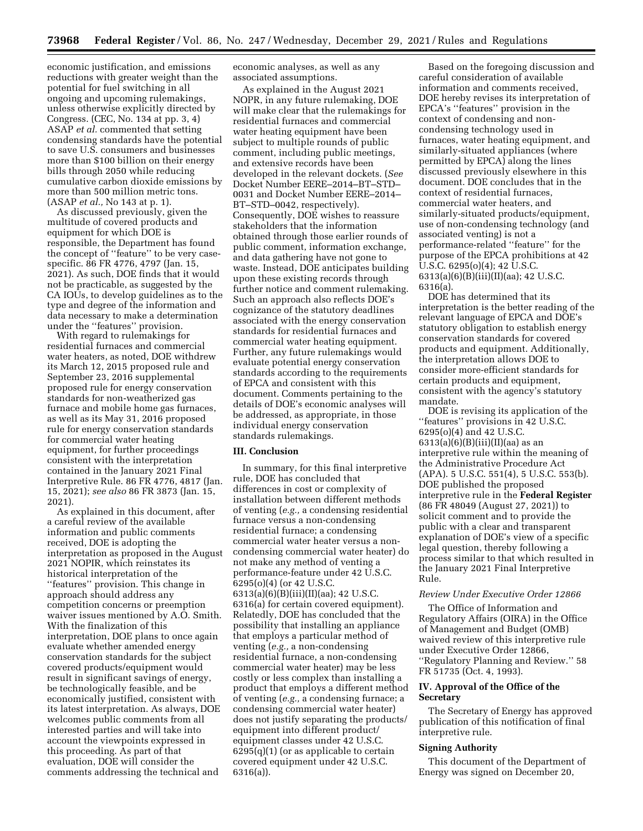economic justification, and emissions reductions with greater weight than the potential for fuel switching in all ongoing and upcoming rulemakings, unless otherwise explicitly directed by Congress. (CEC, No. 134 at pp. 3, 4) ASAP *et al.* commented that setting condensing standards have the potential to save U.S. consumers and businesses more than \$100 billion on their energy bills through 2050 while reducing cumulative carbon dioxide emissions by more than 500 million metric tons. (ASAP *et al.,* No 143 at p. 1).

As discussed previously, given the multitude of covered products and equipment for which DOE is responsible, the Department has found the concept of ''feature'' to be very casespecific. 86 FR 4776, 4797 (Jan. 15, 2021). As such, DOE finds that it would not be practicable, as suggested by the CA IOUs, to develop guidelines as to the type and degree of the information and data necessary to make a determination under the ''features'' provision.

With regard to rulemakings for residential furnaces and commercial water heaters, as noted, DOE withdrew its March 12, 2015 proposed rule and September 23, 2016 supplemental proposed rule for energy conservation standards for non-weatherized gas furnace and mobile home gas furnaces, as well as its May 31, 2016 proposed rule for energy conservation standards for commercial water heating equipment, for further proceedings consistent with the interpretation contained in the January 2021 Final Interpretive Rule. 86 FR 4776, 4817 (Jan. 15, 2021); *see also* 86 FR 3873 (Jan. 15, 2021).

As explained in this document, after a careful review of the available information and public comments received, DOE is adopting the interpretation as proposed in the August 2021 NOPIR, which reinstates its historical interpretation of the ''features'' provision. This change in approach should address any competition concerns or preemption waiver issues mentioned by A.O. Smith. With the finalization of this interpretation, DOE plans to once again evaluate whether amended energy conservation standards for the subject covered products/equipment would result in significant savings of energy, be technologically feasible, and be economically justified, consistent with its latest interpretation. As always, DOE welcomes public comments from all interested parties and will take into account the viewpoints expressed in this proceeding. As part of that evaluation, DOE will consider the comments addressing the technical and

economic analyses, as well as any associated assumptions.

As explained in the August 2021 NOPR, in any future rulemaking, DOE will make clear that the rulemakings for residential furnaces and commercial water heating equipment have been subject to multiple rounds of public comment, including public meetings, and extensive records have been developed in the relevant dockets. (*See*  Docket Number EERE–2014–BT–STD– 0031 and Docket Number EERE–2014– BT–STD–0042, respectively). Consequently, DOE wishes to reassure stakeholders that the information obtained through those earlier rounds of public comment, information exchange, and data gathering have not gone to waste. Instead, DOE anticipates building upon these existing records through further notice and comment rulemaking. Such an approach also reflects DOE's cognizance of the statutory deadlines associated with the energy conservation standards for residential furnaces and commercial water heating equipment. Further, any future rulemakings would evaluate potential energy conservation standards according to the requirements of EPCA and consistent with this document. Comments pertaining to the details of DOE's economic analyses will be addressed, as appropriate, in those individual energy conservation standards rulemakings.

#### **III. Conclusion**

In summary, for this final interpretive rule, DOE has concluded that differences in cost or complexity of installation between different methods of venting (*e.g.,* a condensing residential furnace versus a non-condensing residential furnace; a condensing commercial water heater versus a noncondensing commercial water heater) do not make any method of venting a performance-feature under 42 U.S.C. 6295(o)(4) (or 42 U.S.C. 6313(a)(6)(B)(iii)(II)(aa); 42 U.S.C. 6316(a) for certain covered equipment). Relatedly, DOE has concluded that the possibility that installing an appliance that employs a particular method of venting (*e.g.,* a non-condensing residential furnace, a non-condensing commercial water heater) may be less costly or less complex than installing a product that employs a different method of venting (*e.g.,* a condensing furnace; a condensing commercial water heater) does not justify separating the products/ equipment into different product/ equipment classes under 42 U.S.C.  $6295(q)(1)$  (or as applicable to certain covered equipment under 42 U.S.C. 6316(a)).

Based on the foregoing discussion and careful consideration of available information and comments received, DOE hereby revises its interpretation of EPCA's ''features'' provision in the context of condensing and noncondensing technology used in furnaces, water heating equipment, and similarly-situated appliances (where permitted by EPCA) along the lines discussed previously elsewhere in this document. DOE concludes that in the context of residential furnaces, commercial water heaters, and similarly-situated products/equipment, use of non-condensing technology (and associated venting) is not a performance-related ''feature'' for the purpose of the EPCA prohibitions at 42  $\overline{U}$ .S.C. 6295(o)(4); 42  $\overline{U}$ .S.C. 6313(a)(6)(B)(iii)(II)(aa); 42 U.S.C. 6316(a).

DOE has determined that its interpretation is the better reading of the relevant language of EPCA and DOE's statutory obligation to establish energy conservation standards for covered products and equipment. Additionally, the interpretation allows DOE to consider more-efficient standards for certain products and equipment, consistent with the agency's statutory mandate.

DOE is revising its application of the ''features'' provisions in 42 U.S.C. 6295(o)(4) and 42 U.S.C. 6313(a)(6)(B)(iii)(II)(aa) as an interpretive rule within the meaning of the Administrative Procedure Act (APA). 5 U.S.C. 551(4), 5 U.S.C. 553(b). DOE published the proposed interpretive rule in the **Federal Register**  (86 FR 48049 (August 27, 2021)) to solicit comment and to provide the public with a clear and transparent explanation of DOE's view of a specific legal question, thereby following a process similar to that which resulted in the January 2021 Final Interpretive Rule.

#### *Review Under Executive Order 12866*

The Office of Information and Regulatory Affairs (OIRA) in the Office of Management and Budget (OMB) waived review of this interpretive rule under Executive Order 12866, ''Regulatory Planning and Review.'' 58 FR 51735 (Oct. 4, 1993).

## **IV. Approval of the Office of the Secretary**

The Secretary of Energy has approved publication of this notification of final interpretive rule.

# **Signing Authority**

This document of the Department of Energy was signed on December 20,